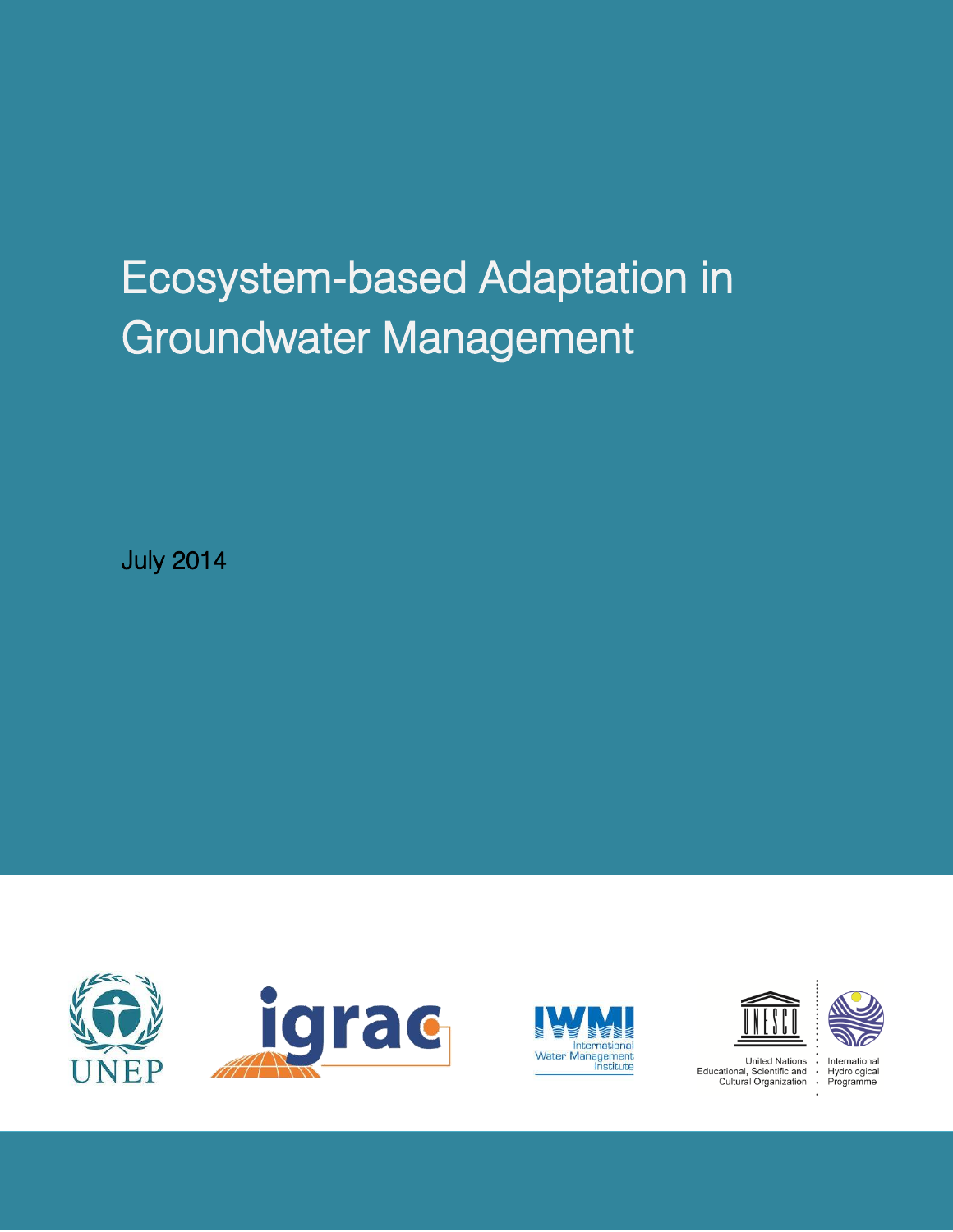# Ecosystem-based Adaptation in Groundwater Management

July 2014









Educational, Scientific and **Cultural Organization**  $\bullet$ 

International Hydrological Programme

 $\cdot$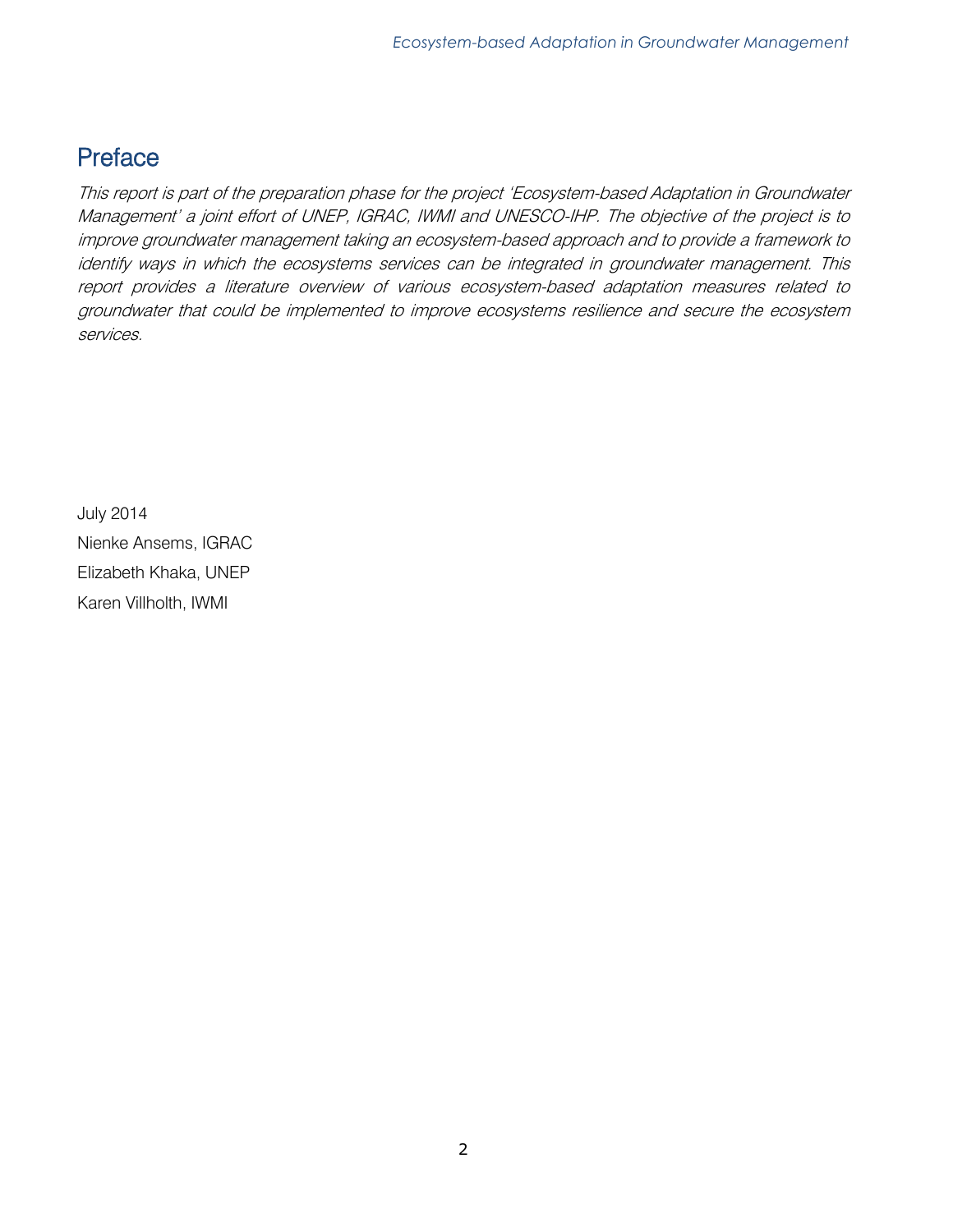# Preface

This report is part of the preparation phase for the project 'Ecosystem-based Adaptation in Groundwater Management' a joint effort of UNEP, IGRAC, IWMI and UNESCO-IHP. The objective of the project is to improve groundwater management taking an ecosystem-based approach and to provide a framework to identify ways in which the ecosystems services can be integrated in groundwater management. This report provides a literature overview of various ecosystem-based adaptation measures related to groundwater that could be implemented to improve ecosystems resilience and secure the ecosystem services.

July 2014 Nienke Ansems, IGRAC Elizabeth Khaka, UNEP Karen Villholth, IWMI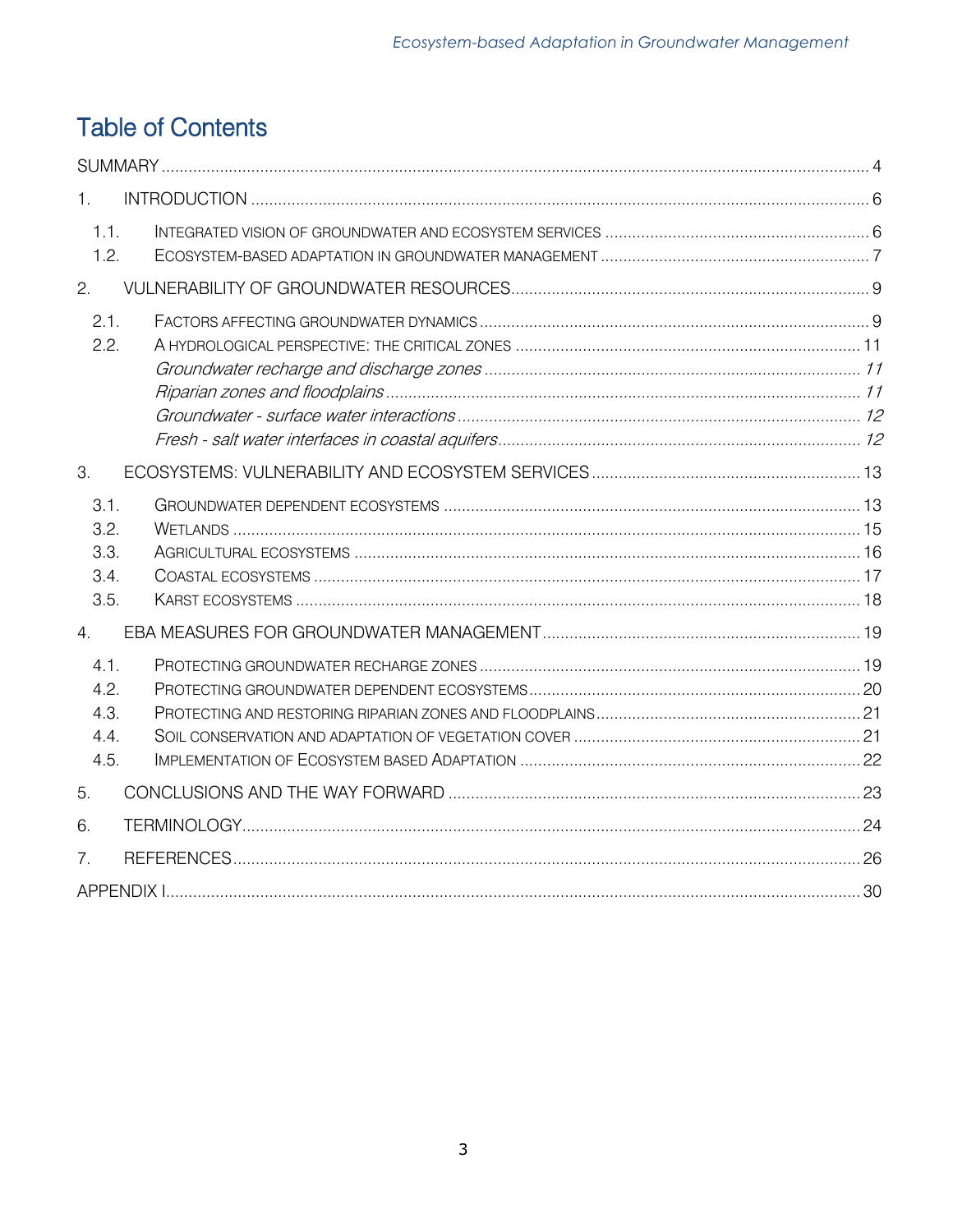# **Table of Contents**

| 1.                                   |  |
|--------------------------------------|--|
| 1.1.<br>1.2.                         |  |
| 2.                                   |  |
| 2.1.<br>2.2.                         |  |
| 3.                                   |  |
| 3.1.<br>3.2.<br>3.3.<br>3.4.<br>3.5. |  |
| 4.                                   |  |
| 4.1.<br>4.2.<br>4.3.<br>4.4.<br>4.5. |  |
| 5.                                   |  |
| 6.                                   |  |
| 7.                                   |  |
|                                      |  |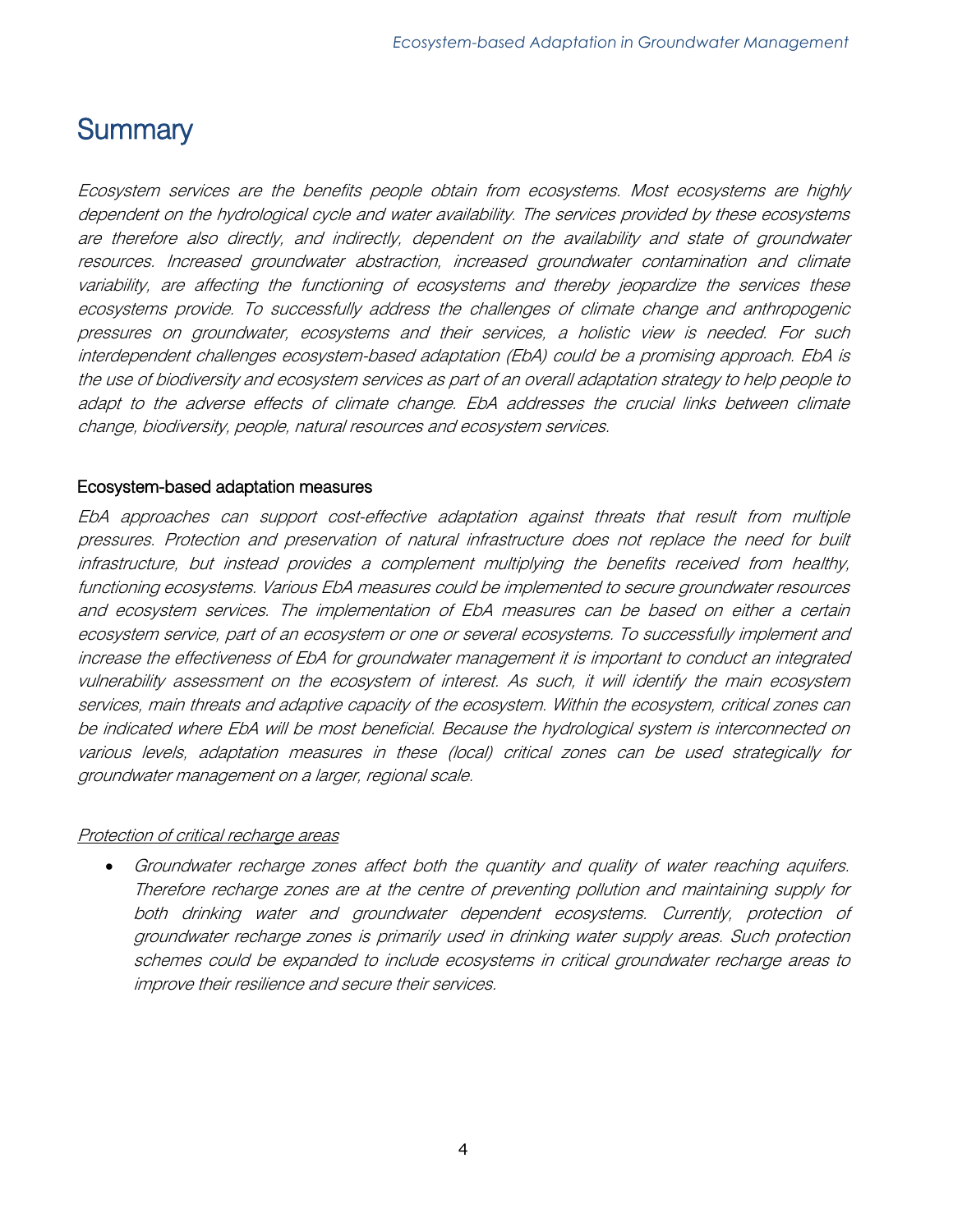# <span id="page-3-0"></span>**Summary**

Ecosystem services are the benefits people obtain from ecosystems. Most ecosystems are highly dependent on the hydrological cycle and water availability. The services provided by these ecosystems are therefore also directly, and indirectly, dependent on the availability and state of groundwater resources. Increased groundwater abstraction, increased groundwater contamination and climate variability, are affecting the functioning of ecosystems and thereby jeopardize the services these ecosystems provide. To successfully address the challenges of climate change and anthropogenic pressures on groundwater, ecosystems and their services, a holistic view is needed. For such interdependent challenges ecosystem-based adaptation (EbA) could be a promising approach. EbA is the use of biodiversity and ecosystem services as part of an overall adaptation strategy to help people to adapt to the adverse effects of climate change. EbA addresses the crucial links between climate change, biodiversity, people, natural resources and ecosystem services.

#### Ecosystem-based adaptation measures

EbA approaches can support cost-effective adaptation against threats that result from multiple pressures. Protection and preservation of natural infrastructure does not replace the need for built infrastructure, but instead provides a complement multiplying the benefits received from healthy, functioning ecosystems. Various EbA measures could be implemented to secure groundwater resources and ecosystem services. The implementation of EbA measures can be based on either a certain ecosystem service, part of an ecosystem or one or several ecosystems. To successfully implement and increase the effectiveness of EbA for groundwater management it is important to conduct an integrated vulnerability assessment on the ecosystem of interest. As such, it will identify the main ecosystem services, main threats and adaptive capacity of the ecosystem. Within the ecosystem, critical zones can be indicated where EbA will be most beneficial. Because the hydrological system is interconnected on various levels, adaptation measures in these (local) critical zones can be used strategically for groundwater management on a larger, regional scale.

#### Protection of critical recharge areas

 Groundwater recharge zones affect both the quantity and quality of water reaching aquifers. Therefore recharge zones are at the centre of preventing pollution and maintaining supply for both drinking water and groundwater dependent ecosystems. Currently, protection of groundwater recharge zones is primarily used in drinking water supply areas. Such protection schemes could be expanded to include ecosystems in critical groundwater recharge areas to improve their resilience and secure their services.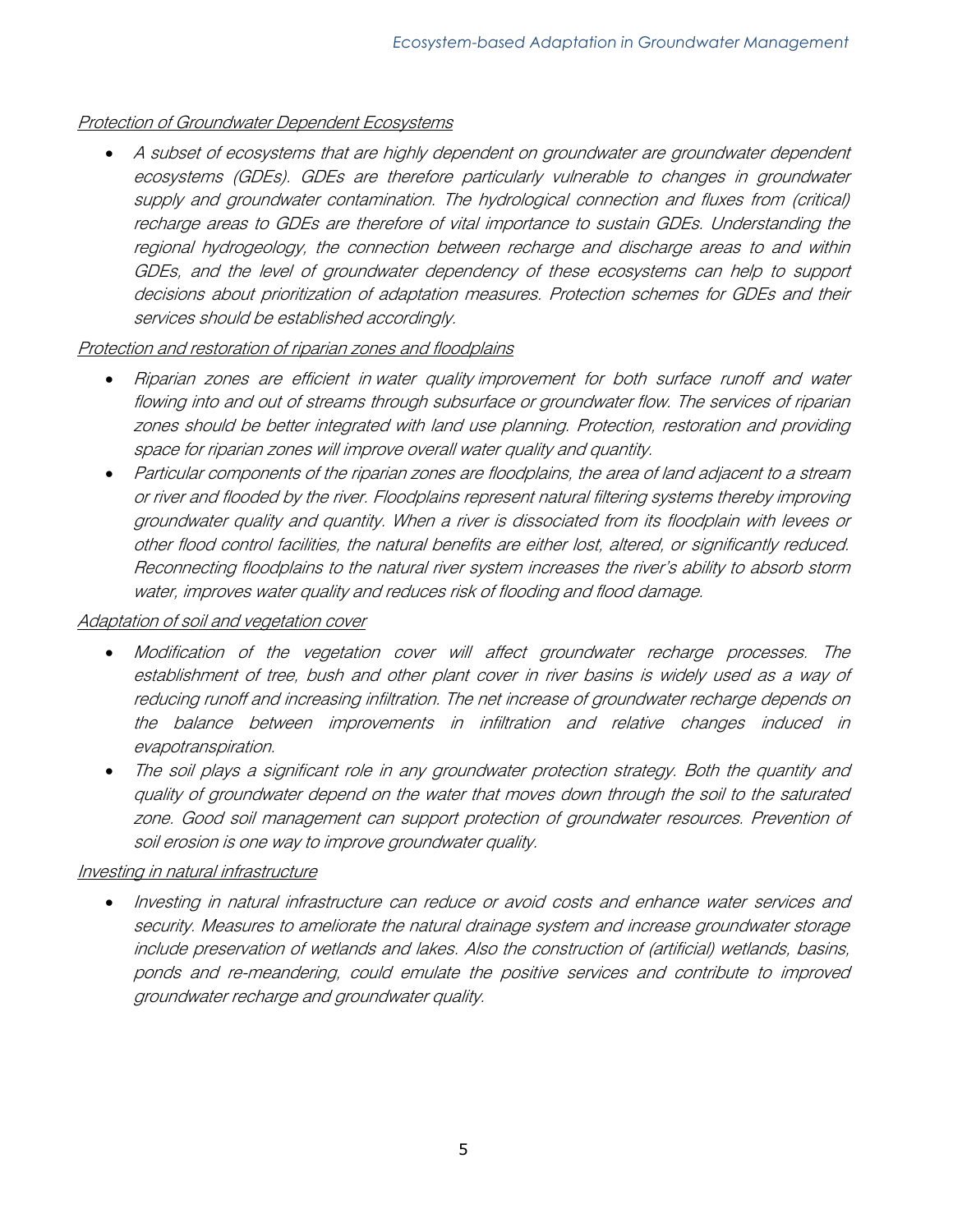# Protection of Groundwater Dependent Ecosystems

 A subset of ecosystems that are highly dependent on groundwater are groundwater dependent ecosystems (GDEs). GDEs are therefore particularly vulnerable to changes in groundwater supply and groundwater contamination. The hydrological connection and fluxes from (critical) recharge areas to GDEs are therefore of vital importance to sustain GDEs. Understanding the regional hydrogeology, the connection between recharge and discharge areas to and within GDEs, and the level of groundwater dependency of these ecosystems can help to support decisions about prioritization of adaptation measures. Protection schemes for GDEs and their services should be established accordingly.

# Protection and restoration of riparian zones and floodplains

- Riparian zones are efficient in water quality improvement for both surface runoff and water flowing into and out of streams through subsurface or groundwater flow. The services of riparian zones should be better integrated with land use planning. Protection, restoration and providing space for riparian zones will improve overall water quality and quantity.
- Particular components of the riparian zones are floodplains, the area of land adjacent to a stream or river and flooded by the river. Floodplains represent natural filtering systems thereby improving groundwater quality and quantity. When a river is dissociated from its floodplain with levees or other flood control facilities, the natural benefits are either lost, altered, or significantly reduced. Reconnecting floodplains to the natural river system increases the river's ability to absorb storm water, improves water quality and reduces risk of flooding and flood damage.

#### Adaptation of soil and vegetation cover

- Modification of the vegetation cover will affect groundwater recharge processes. The establishment of tree, bush and other plant cover in river basins is widely used as a way of reducing runoff and increasing infiltration. The net increase of groundwater recharge depends on the balance between improvements in infiltration and relative changes induced in evapotranspiration.
- The soil plays a significant role in any groundwater protection strategy. Both the quantity and quality of groundwater depend on the water that moves down through the soil to the saturated zone. Good soil management can support protection of groundwater resources. Prevention of soil erosion is one way to improve groundwater quality.

# Investing in natural infrastructure

 Investing in natural infrastructure can reduce or avoid costs and enhance water services and security. Measures to ameliorate the natural drainage system and increase groundwater storage include preservation of wetlands and lakes. Also the construction of (artificial) wetlands, basins, ponds and re-meandering, could emulate the positive services and contribute to improved groundwater recharge and groundwater quality.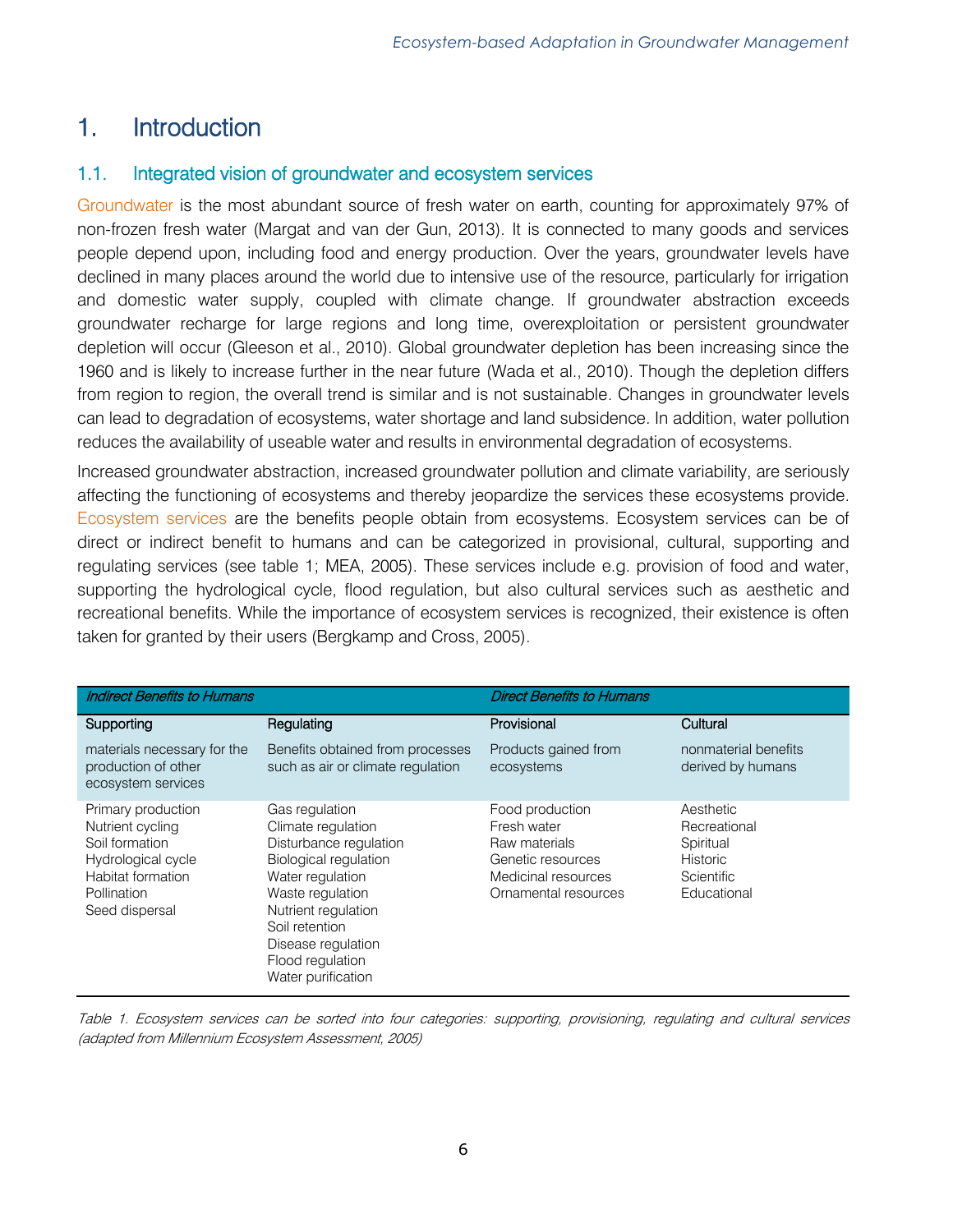# <span id="page-5-0"></span>1. Introduction

# <span id="page-5-1"></span>1.1. Integrated vision of groundwater and ecosystem services

Groundwater is the most abundant source of fresh water on earth, counting for approximately 97% of non-frozen fresh water (Margat and van der Gun, 2013). It is connected to many goods and services people depend upon, including food and energy production. Over the years, groundwater levels have declined in many places around the world due to intensive use of the resource, particularly for irrigation and domestic water supply, coupled with climate change. If groundwater abstraction exceeds groundwater recharge for large regions and long time, overexploitation or persistent groundwater depletion will occur (Gleeson et al., 2010). Global groundwater depletion has been increasing since the 1960 and is likely to increase further in the near future (Wada et al., 2010). Though the depletion differs from region to region, the overall trend is similar and is not sustainable. Changes in groundwater levels can lead to degradation of ecosystems, water shortage and land subsidence. In addition, water pollution reduces the availability of useable water and results in environmental degradation of ecosystems.

Increased groundwater abstraction, increased groundwater pollution and climate variability, are seriously affecting the functioning of ecosystems and thereby jeopardize the services these ecosystems provide. Ecosystem services are the benefits people obtain from ecosystems. Ecosystem services can be of direct or indirect benefit to humans and can be categorized in provisional, cultural, supporting and regulating services (see table 1; MEA, 2005). These services include e.g. provision of food and water, supporting the hydrological cycle, flood regulation, but also cultural services such as aesthetic and recreational benefits. While the importance of ecosystem services is recognized, their existence is often taken for granted by their users (Bergkamp and Cross, 2005).

| <b>Indirect Benefits to Humans</b>                                                                                                   |                                                                                                                                                                                                                                                 | <b>Direct Benefits to Humans</b>                                                                                    |                                                                                               |
|--------------------------------------------------------------------------------------------------------------------------------------|-------------------------------------------------------------------------------------------------------------------------------------------------------------------------------------------------------------------------------------------------|---------------------------------------------------------------------------------------------------------------------|-----------------------------------------------------------------------------------------------|
| Supporting                                                                                                                           | Regulating                                                                                                                                                                                                                                      | Provisional                                                                                                         | Cultural                                                                                      |
| materials necessary for the<br>production of other<br>ecosystem services                                                             | Benefits obtained from processes<br>such as air or climate regulation                                                                                                                                                                           | Products gained from<br>ecosystems                                                                                  | nonmaterial benefits<br>derived by humans                                                     |
| Primary production<br>Nutrient cycling<br>Soil formation<br>Hydrological cycle<br>Habitat formation<br>Pollination<br>Seed dispersal | Gas regulation<br>Climate regulation<br>Disturbance regulation<br><b>Biological regulation</b><br>Water regulation<br>Waste regulation<br>Nutrient regulation<br>Soil retention<br>Disease regulation<br>Flood regulation<br>Water purification | Food production<br>Fresh water<br>Raw materials<br>Genetic resources<br>Medicinal resources<br>Ornamental resources | Aesthetic<br>Recreational<br>Spiritual<br><b>Historic</b><br><b>Scientific</b><br>Educational |

Table 1. Ecosystem services can be sorted into four categories: supporting, provisioning, regulating and cultural services (adapted from Millennium Ecosystem Assessment, 2005)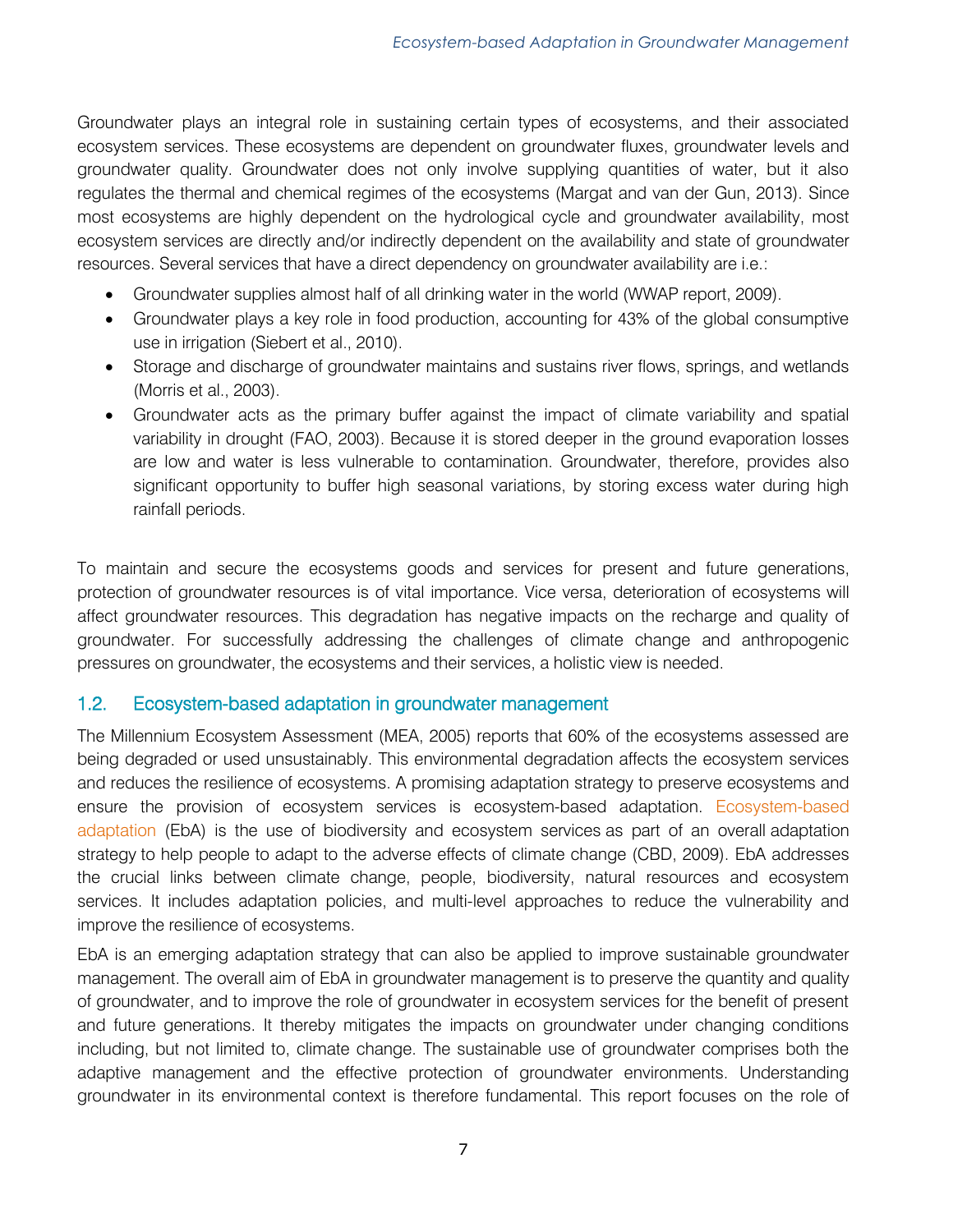Groundwater plays an integral role in sustaining certain types of ecosystems, and their associated ecosystem services. These ecosystems are dependent on groundwater fluxes, groundwater levels and groundwater quality. Groundwater does not only involve supplying quantities of water, but it also regulates the thermal and chemical regimes of the ecosystems (Margat and van der Gun, 2013). Since most ecosystems are highly dependent on the hydrological cycle and groundwater availability, most ecosystem services are directly and/or indirectly dependent on the availability and state of groundwater resources. Several services that have a direct dependency on groundwater availability are i.e.:

- Groundwater supplies almost half of all drinking water in the world (WWAP report, 2009).
- Groundwater plays a key role in food production, accounting for 43% of the global consumptive use in irrigation (Siebert et al., 2010).
- Storage and discharge of groundwater maintains and sustains river flows, springs, and wetlands (Morris et al., 2003).
- Groundwater acts as the primary buffer against the impact of climate variability and spatial variability in drought (FAO, 2003). Because it is stored deeper in the ground evaporation losses are low and water is less vulnerable to contamination. Groundwater, therefore, provides also significant opportunity to buffer high seasonal variations, by storing excess water during high rainfall periods.

To maintain and secure the ecosystems goods and services for present and future generations, protection of groundwater resources is of vital importance. Vice versa, deterioration of ecosystems will affect groundwater resources. This degradation has negative impacts on the recharge and quality of groundwater. For successfully addressing the challenges of climate change and anthropogenic pressures on groundwater, the ecosystems and their services, a holistic view is needed.

# <span id="page-6-0"></span>1.2. Ecosystem-based adaptation in groundwater management

The Millennium Ecosystem Assessment (MEA, 2005) reports that 60% of the ecosystems assessed are being degraded or used unsustainably. This environmental degradation affects the ecosystem services and reduces the resilience of ecosystems. A promising adaptation strategy to preserve ecosystems and ensure the provision of ecosystem services is ecosystem-based adaptation. Ecosystem-based adaptation (EbA) is the use of biodiversity and ecosystem services as part of an overall adaptation strategy to help people to adapt to the adverse effects of climate change (CBD, 2009). EbA addresses the crucial links between climate change, people, biodiversity, natural resources and ecosystem services. It includes adaptation policies, and multi-level approaches to reduce the vulnerability and improve the resilience of ecosystems.

EbA is an emerging adaptation strategy that can also be applied to improve sustainable groundwater management. The overall aim of EbA in groundwater management is to preserve the quantity and quality of groundwater, and to improve the role of groundwater in ecosystem services for the benefit of present and future generations. It thereby mitigates the impacts on groundwater under changing conditions including, but not limited to, climate change. The sustainable use of groundwater comprises both the adaptive management and the effective protection of groundwater environments. Understanding groundwater in its environmental context is therefore fundamental. This report focuses on the role of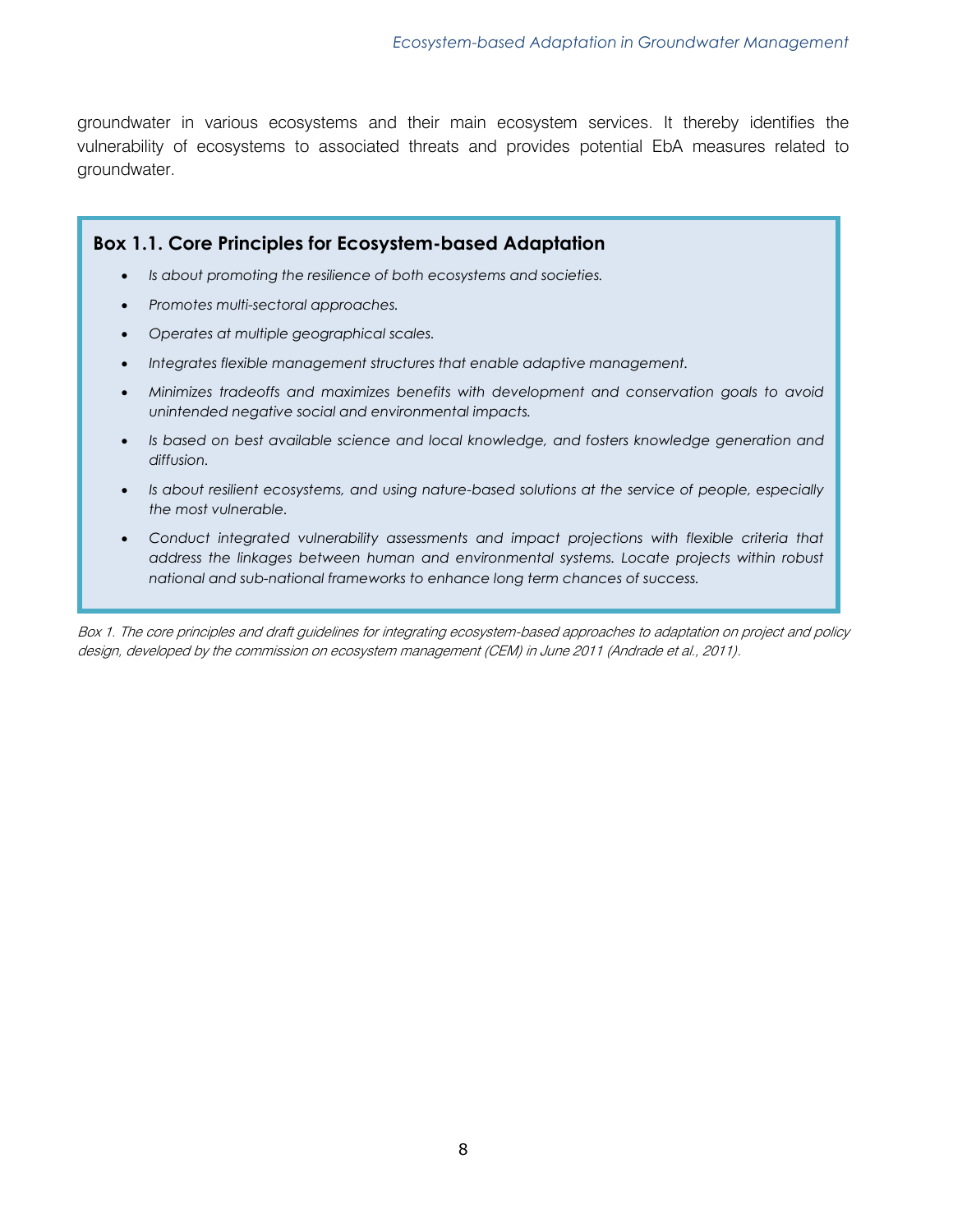groundwater in various ecosystems and their main ecosystem services. It thereby identifies the vulnerability of ecosystems to associated threats and provides potential EbA measures related to groundwater.

# **Box 1.1. Core Principles for Ecosystem-based Adaptation**

- *Is about promoting the resilience of both ecosystems and societies.*
- *Promotes multi-sectoral approaches.*
- *Operates at multiple geographical scales.*
- *Integrates flexible management structures that enable adaptive management.*
- *Minimizes tradeoffs and maximizes benefits with development and conservation goals to avoid unintended negative social and environmental impacts.*
- *Is based on best available science and local knowledge, and fosters knowledge generation and diffusion.*
- *Is about resilient ecosystems, and using nature-based solutions at the service of people, especially the most vulnerable.*
- Conduct integrated vulnerability assessments and impact projections with flexible criteria that *address the linkages between human and environmental systems. Locate projects within robust national and sub-national frameworks to enhance long term chances of success.*

Box 1. The core principles and draft guidelines for integrating ecosystem-based approaches to adaptation on project and policy design, developed by the commission on ecosystem management (CEM) in June 2011 (Andrade et al., 2011).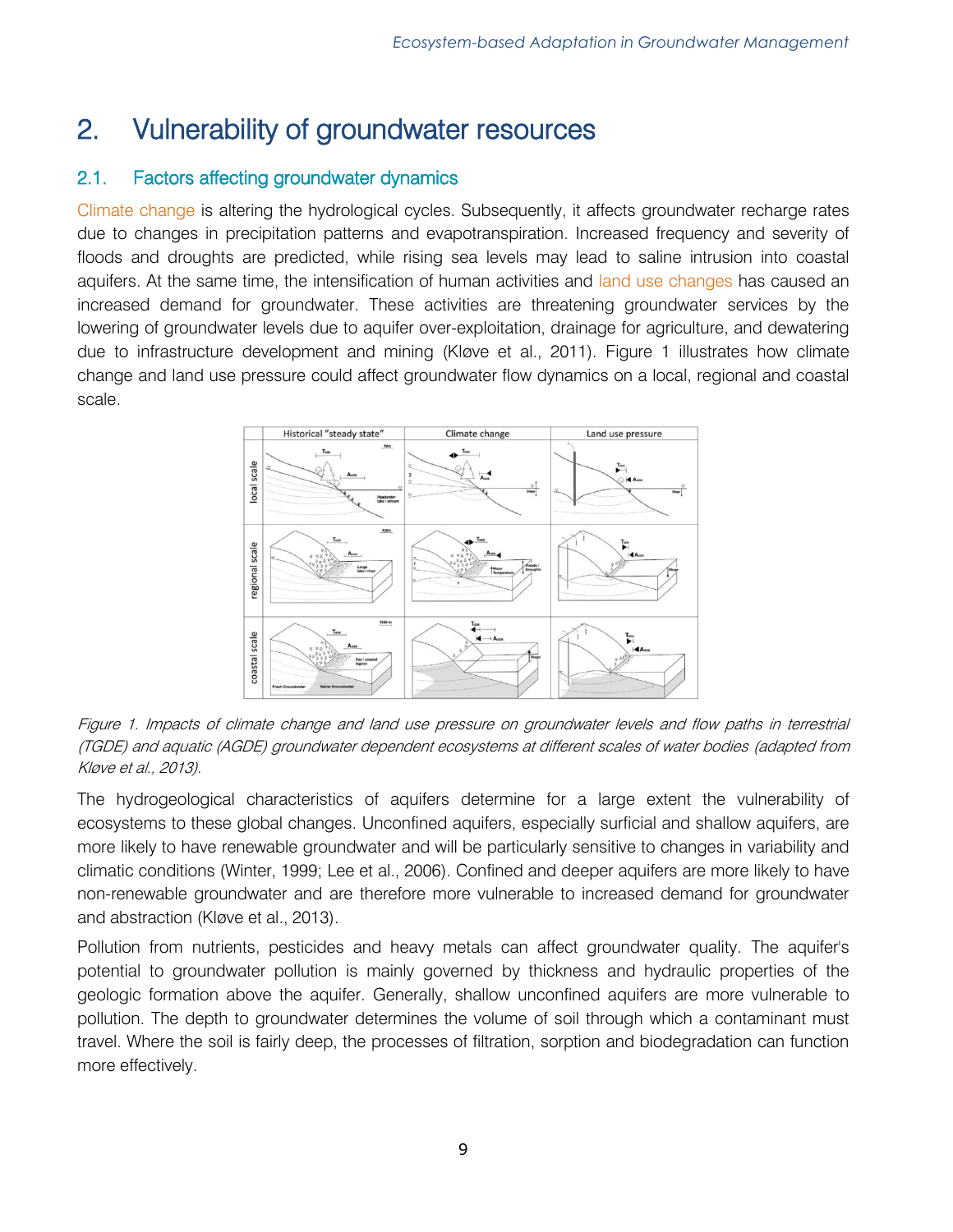# <span id="page-8-0"></span>2. Vulnerability of groundwater resources

# <span id="page-8-1"></span>2.1. Factors affecting groundwater dynamics

Climate change is altering the hydrological cycles. Subsequently, it affects groundwater recharge rates due to changes in precipitation patterns and evapotranspiration. Increased frequency and severity of floods and droughts are predicted, while rising sea levels may lead to saline intrusion into coastal aquifers. At the same time, the intensification of human activities and land use changes has caused an increased demand for groundwater. These activities are threatening groundwater services by the lowering of groundwater levels due to aquifer over-exploitation, drainage for agriculture, and dewatering due to infrastructure development and mining (Kløve et al., 2011). Figure 1 illustrates how climate change and land use pressure could affect groundwater flow dynamics on a local, regional and coastal scale.



Figure 1. Impacts of climate change and land use pressure on groundwater levels and flow paths in terrestrial (TGDE) and aquatic (AGDE) groundwater dependent ecosystems at different scales of water bodies (adapted from Kløve et al., 2013).

The hydrogeological characteristics of aquifers determine for a large extent the vulnerability of ecosystems to these global changes. Unconfined aquifers, especially surficial and shallow aquifers, are more likely to have renewable groundwater and will be particularly sensitive to changes in variability and climatic conditions (Winter, 1999; Lee et al., 2006). Confined and deeper aquifers are more likely to have non-renewable groundwater and are therefore more vulnerable to increased demand for groundwater and abstraction (Kløve et al., 2013).

Pollution from nutrients, pesticides and heavy metals can affect groundwater quality. The aquifer's potential to groundwater pollution is mainly governed by thickness and hydraulic properties of the geologic formation above the aquifer. Generally, shallow unconfined aquifers are more vulnerable to pollution. The depth to groundwater determines the volume of soil through which a contaminant must travel. Where the soil is fairly deep, the processes of filtration, sorption and biodegradation can function more effectively.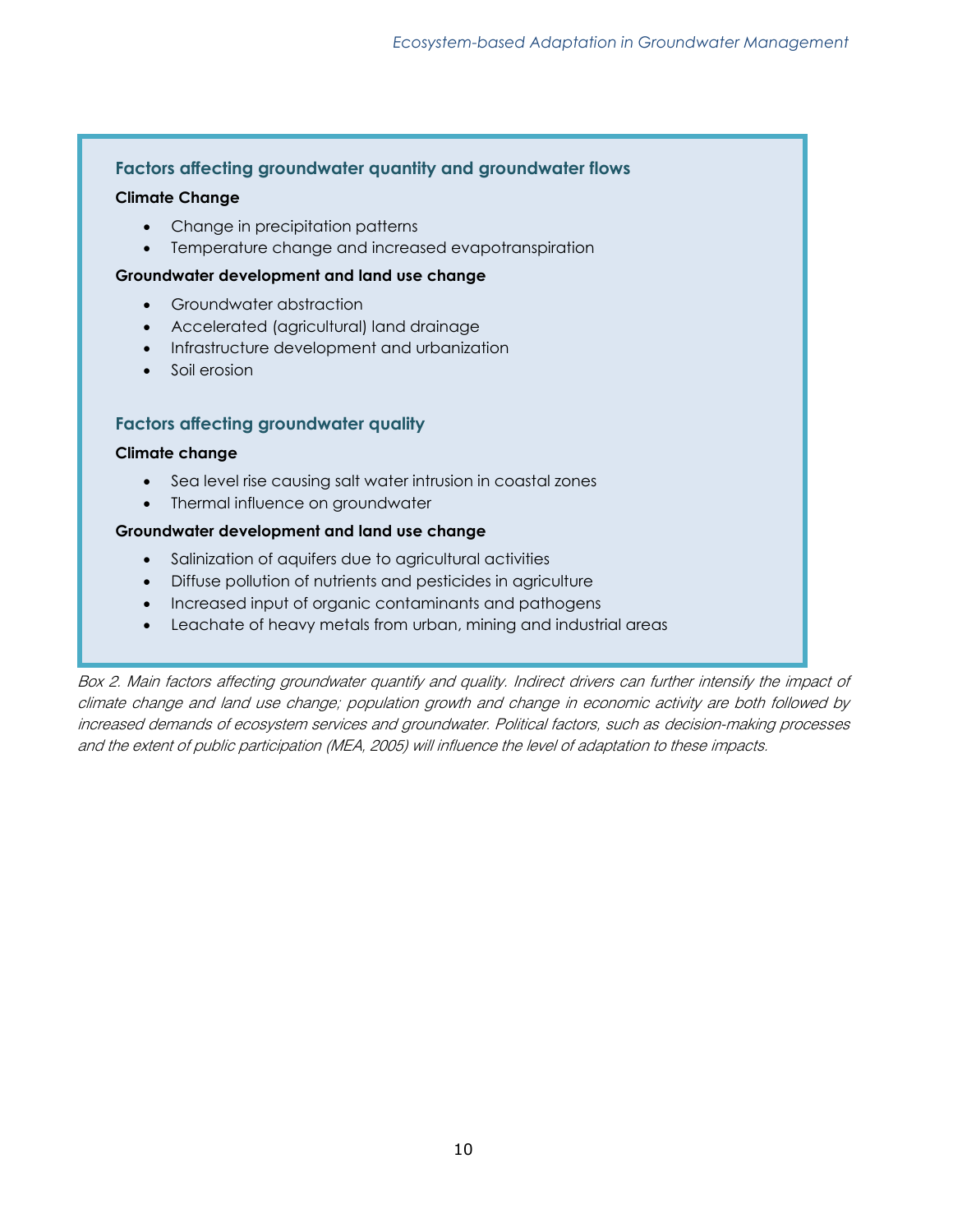#### **Factors affecting groundwater quantity and groundwater flows**

#### **Climate Change**

- Change in precipitation patterns
- Temperature change and increased evapotranspiration

#### **Groundwater development and land use change**

- Groundwater abstraction
- Accelerated (agricultural) land drainage
- Infrastructure development and urbanization
- Soil erosion

#### **Factors affecting groundwater quality**

#### **Climate change**

- Sea level rise causing salt water intrusion in coastal zones
- Thermal influence on groundwater

#### **Groundwater development and land use change**

- Salinization of aquifers due to agricultural activities
- Diffuse pollution of nutrients and pesticides in agriculture
- Increased input of organic contaminants and pathogens
- Leachate of heavy metals from urban, mining and industrial areas

Box 2. Main factors affecting groundwater quantify and quality. Indirect drivers can further intensify the impact of climate change and land use change; population growth and change in economic activity are both followed by increased demands of ecosystem services and groundwater. Political factors, such as decision-making processes and the extent of public participation (MEA, 2005) will influence the level of adaptation to these impacts.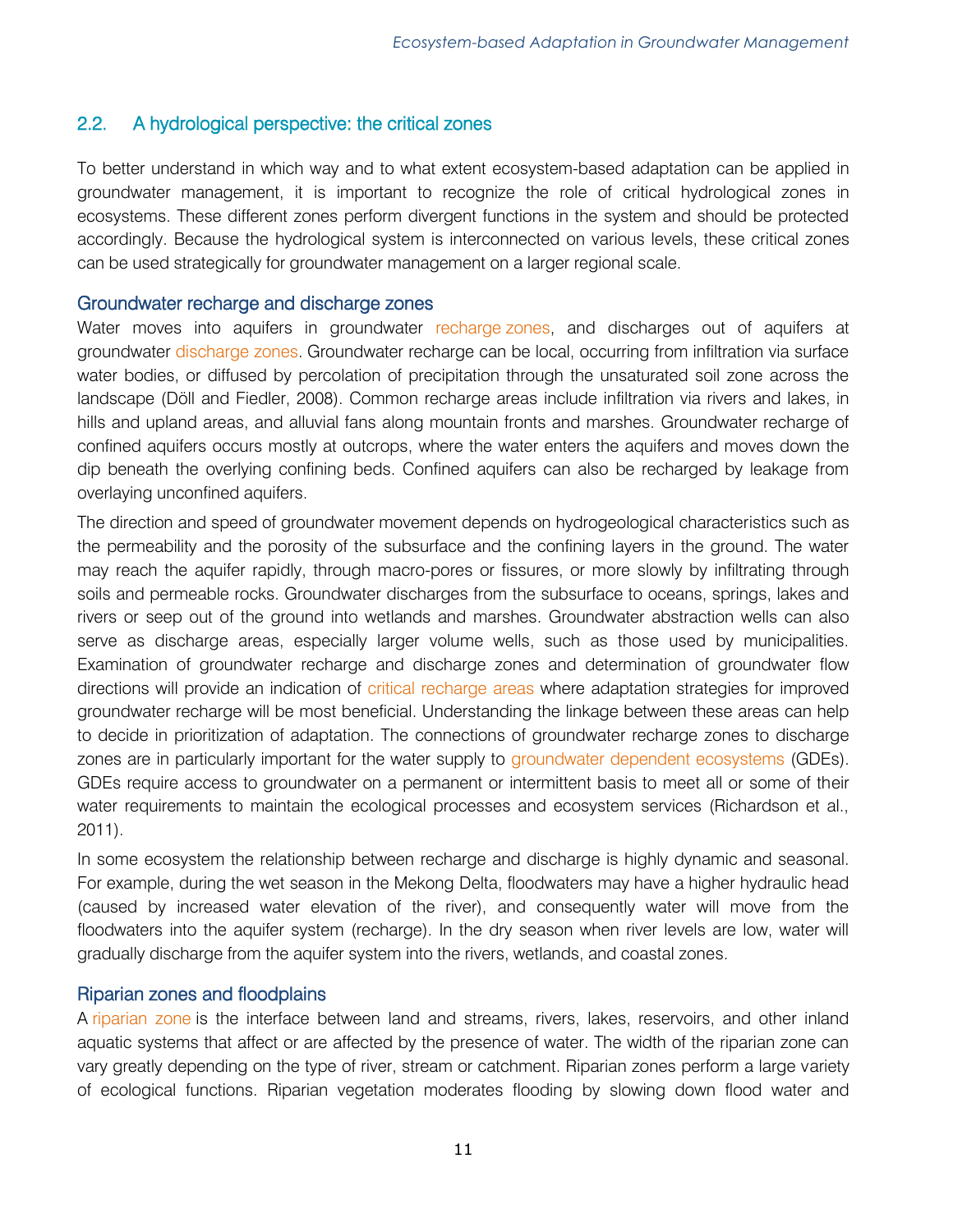# <span id="page-10-0"></span>2.2. A hydrological perspective: the critical zones

To better understand in which way and to what extent ecosystem-based adaptation can be applied in groundwater management, it is important to recognize the role of critical hydrological zones in ecosystems. These different zones perform divergent functions in the system and should be protected accordingly. Because the hydrological system is interconnected on various levels, these critical zones can be used strategically for groundwater management on a larger regional scale.

#### <span id="page-10-1"></span>Groundwater recharge and discharge zones

Water moves into aquifers in groundwater recharge zones, and discharges out of aquifers at groundwater discharge zones. Groundwater recharge can be local, occurring from infiltration via surface water bodies, or diffused by percolation of precipitation through the unsaturated soil zone across the landscape (Döll and Fiedler, 2008). Common recharge areas include infiltration via rivers and lakes, in hills and upland areas, and alluvial fans along mountain fronts and marshes. Groundwater recharge of confined aquifers occurs mostly at outcrops, where the water enters the aquifers and moves down the dip beneath the overlying confining beds. Confined aquifers can also be recharged by leakage from overlaying unconfined aquifers.

The direction and speed of groundwater movement depends on hydrogeological characteristics such as the permeability and the porosity of the subsurface and the confining layers in the ground. The water may reach the aquifer rapidly, through macro-pores or fissures, or more slowly by infiltrating through soils and permeable rocks. Groundwater discharges from the subsurface to oceans, springs, lakes and rivers or seep out of the ground into wetlands and marshes. Groundwater abstraction wells can also serve as discharge areas, especially larger volume wells, such as those used by municipalities. Examination of groundwater recharge and discharge zones and determination of groundwater flow directions will provide an indication of critical recharge areas where adaptation strategies for improved groundwater recharge will be most beneficial. Understanding the linkage between these areas can help to decide in prioritization of adaptation. The connections of groundwater recharge zones to discharge zones are in particularly important for the water supply to groundwater dependent ecosystems (GDEs). GDEs require access to groundwater on a permanent or intermittent basis to meet all or some of their water requirements to maintain the ecological processes and ecosystem services (Richardson et al., 2011).

In some ecosystem the relationship between recharge and discharge is highly dynamic and seasonal. For example, during the wet season in the Mekong Delta, floodwaters may have a higher hydraulic head (caused by increased water elevation of the river), and consequently water will move from the floodwaters into the aquifer system (recharge). In the dry season when river levels are low, water will gradually discharge from the aquifer system into the rivers, wetlands, and coastal zones.

# <span id="page-10-2"></span>Riparian zones and floodplains

A riparian zone is the interface between land and streams, rivers, lakes, reservoirs, and other inland aquatic systems that affect or are affected by the presence of water. The width of the riparian zone can vary greatly depending on the type of river, stream or catchment. Riparian zones perform a large variety of ecological functions. Riparian vegetation moderates flooding by slowing down flood water and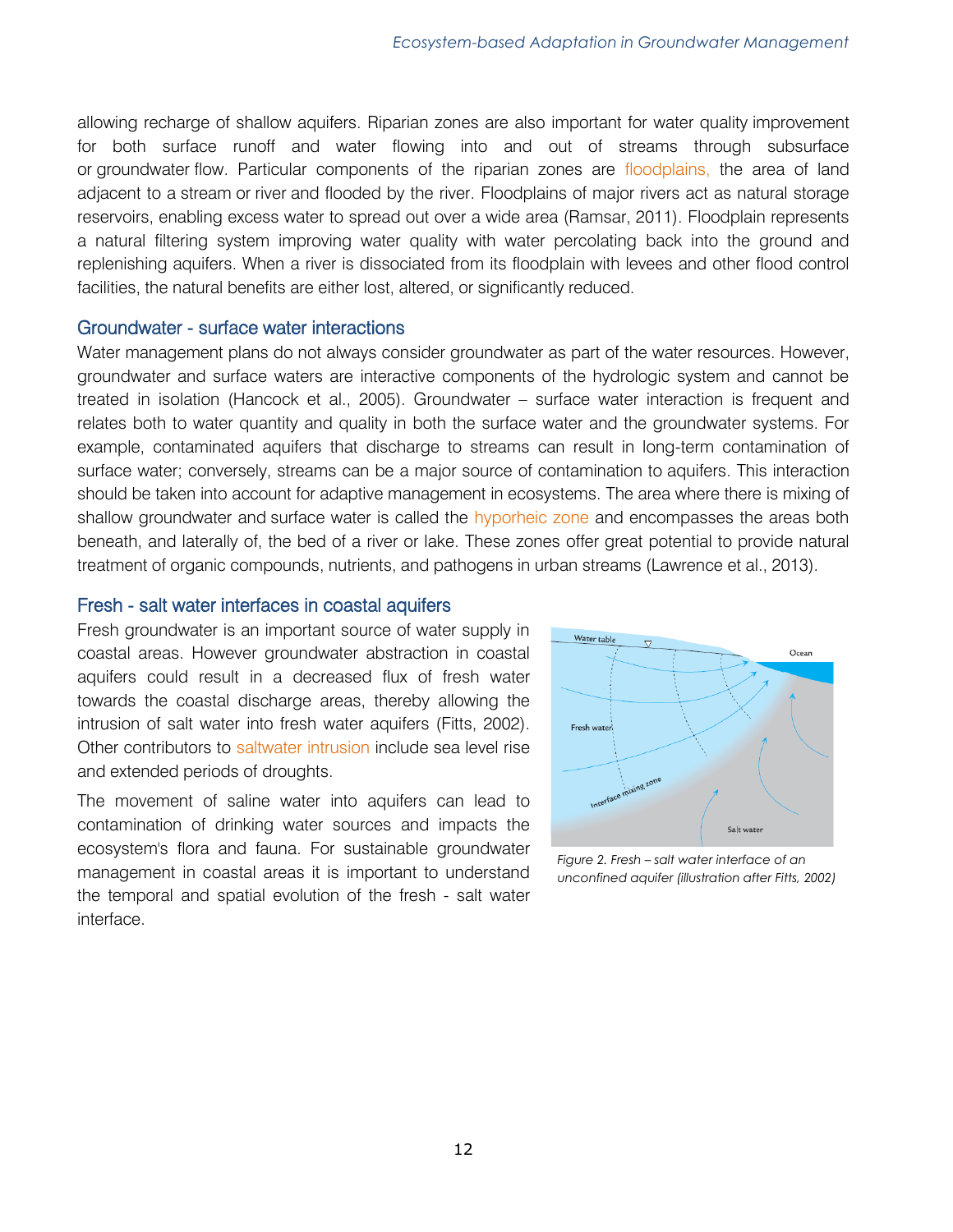allowing recharge of shallow aquifers. Riparian zones are also important for water quality improvement for both surface runoff and water flowing into and out of streams through subsurface or groundwater flow. Particular components of the riparian zones are floodplains, the area of land adjacent to a stream or river and flooded by the river. Floodplains of major rivers act as natural storage reservoirs, enabling excess water to spread out over a wide area (Ramsar, 2011). Floodplain represents a natural filtering system improving water quality with water percolating back into the ground and replenishing aquifers. When a river is dissociated from its floodplain with levees and other flood control facilities, the natural benefits are either lost, altered, or significantly reduced.

#### <span id="page-11-0"></span>Groundwater - surface water interactions

Water management plans do not always consider groundwater as part of the water resources. However, groundwater and surface waters are interactive components of the hydrologic system and cannot be treated in isolation (Hancock et al., 2005). Groundwater – surface water interaction is frequent and relates both to water quantity and quality in both the surface water and the groundwater systems. For example, contaminated aquifers that discharge to streams can result in long-term contamination of surface water; conversely, streams can be a major source of contamination to aquifers. This interaction should be taken into account for adaptive management in ecosystems. The area where there is mixing of shallow groundwater and surface water is called the hyporheic zone and encompasses the areas both beneath, and laterally of, the bed of a river or lake. These zones offer great potential to provide natural treatment of organic compounds, nutrients, and pathogens in urban streams (Lawrence et al., 2013).

#### <span id="page-11-1"></span>Fresh - salt water interfaces in coastal aquifers

Fresh groundwater is an important source of water supply in coastal areas. However groundwater abstraction in coastal aquifers could result in a decreased flux of fresh water towards the coastal discharge areas, thereby allowing the intrusion of salt water into fresh water aquifers (Fitts, 2002). Other contributors to saltwater intrusion include sea level rise and extended periods of droughts.

The movement of saline water into aquifers can lead to contamination of drinking water sources and impacts the ecosystem's flora and fauna. For sustainable groundwater management in coastal areas it is important to understand the temporal and spatial evolution of the fresh - salt water interface.



*Figure 2. Fresh – salt water interface of an unconfined aquifer (illustration after Fitts, 2002)*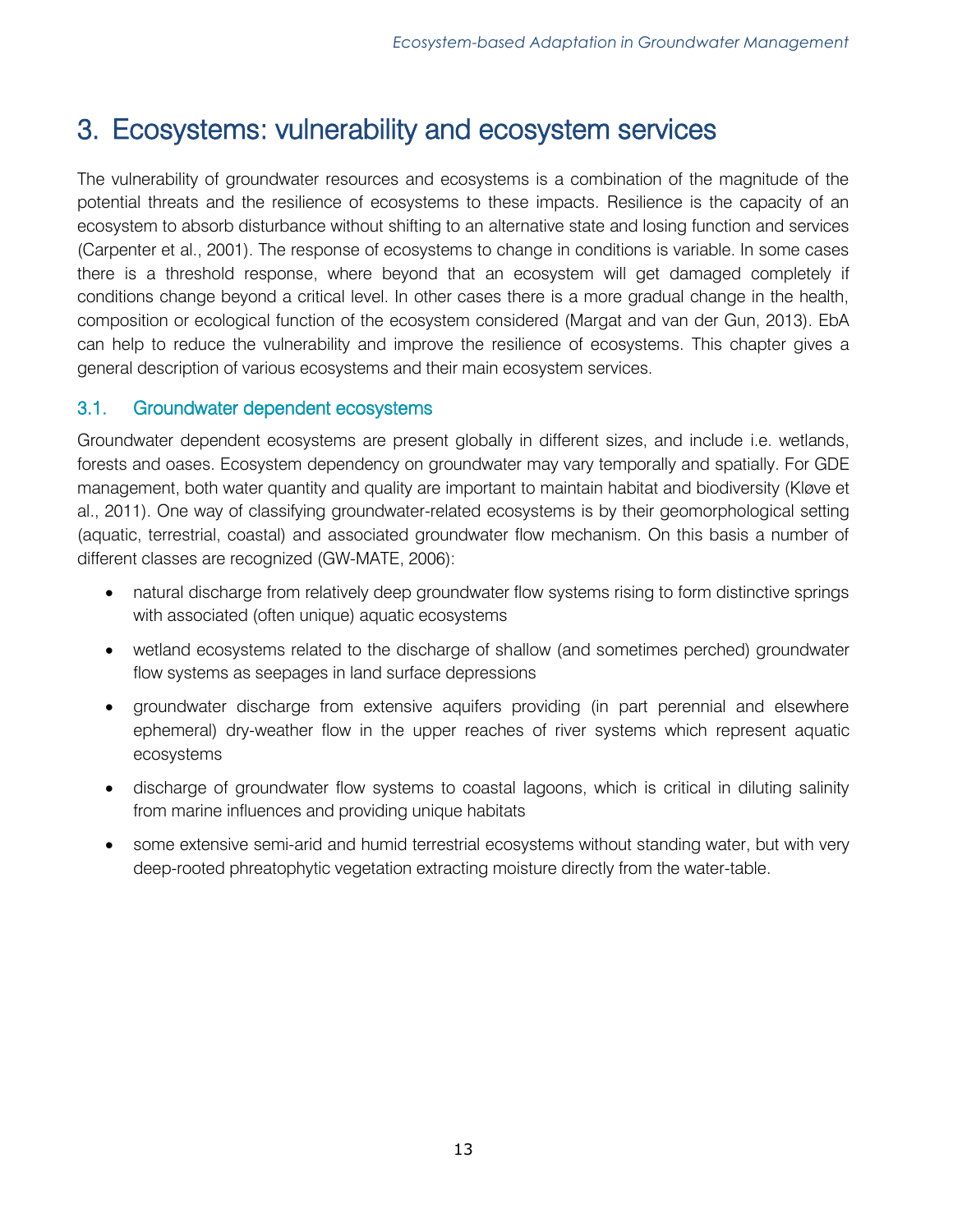# <span id="page-12-0"></span>3. Ecosystems: vulnerability and ecosystem services

The vulnerability of groundwater resources and ecosystems is a combination of the magnitude of the potential threats and the resilience of ecosystems to these impacts. Resilience is the capacity of an ecosystem to absorb disturbance without shifting to an alternative state and losing function and services (Carpenter et al., 2001). The response of ecosystems to change in conditions is variable. In some cases there is a threshold response, where beyond that an ecosystem will get damaged completely if conditions change beyond a critical level. In other cases there is a more gradual change in the health, composition or ecological function of the ecosystem considered (Margat and van der Gun, 2013). EbA can help to reduce the vulnerability and improve the resilience of ecosystems. This chapter gives a general description of various ecosystems and their main ecosystem services.

# <span id="page-12-1"></span>3.1. Groundwater dependent ecosystems

Groundwater dependent ecosystems are present globally in different sizes, and include i.e. wetlands, forests and oases. Ecosystem dependency on groundwater may vary temporally and spatially. For GDE management, both water quantity and quality are important to maintain habitat and biodiversity (Kløve et al., 2011). One way of classifying groundwater-related ecosystems is by their geomorphological setting (aquatic, terrestrial, coastal) and associated groundwater flow mechanism. On this basis a number of different classes are recognized (GW-MATE, 2006):

- natural discharge from relatively deep groundwater flow systems rising to form distinctive springs with associated (often unique) aquatic ecosystems
- wetland ecosystems related to the discharge of shallow (and sometimes perched) groundwater flow systems as seepages in land surface depressions
- groundwater discharge from extensive aquifers providing (in part perennial and elsewhere ephemeral) dry-weather flow in the upper reaches of river systems which represent aquatic ecosystems
- discharge of groundwater flow systems to coastal lagoons, which is critical in diluting salinity from marine influences and providing unique habitats
- some extensive semi-arid and humid terrestrial ecosystems without standing water, but with very deep-rooted phreatophytic vegetation extracting moisture directly from the water-table.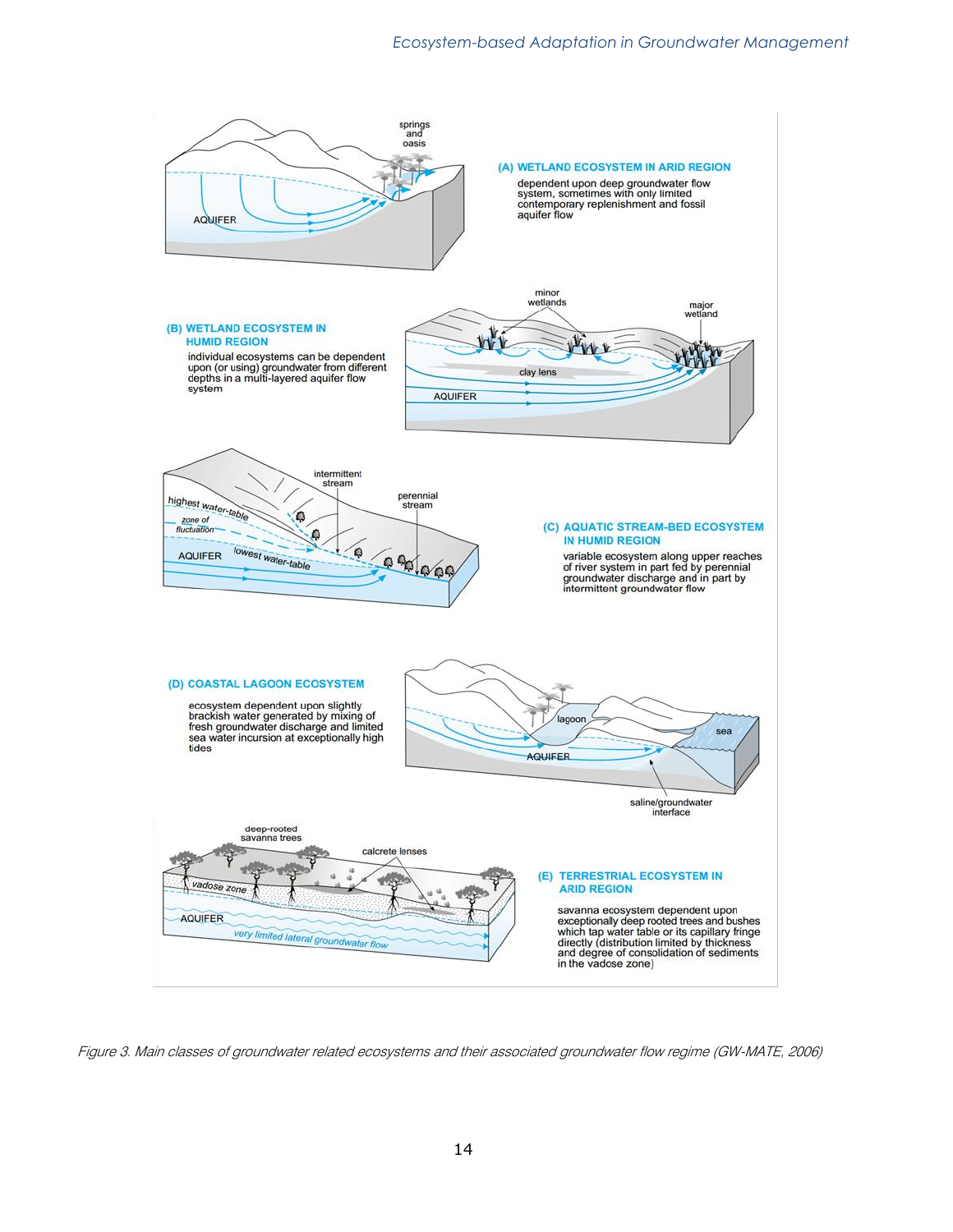

Figure 3. Main classes of groundwater related ecosystems and their associated groundwater flow regime (GW-MATE, 2006)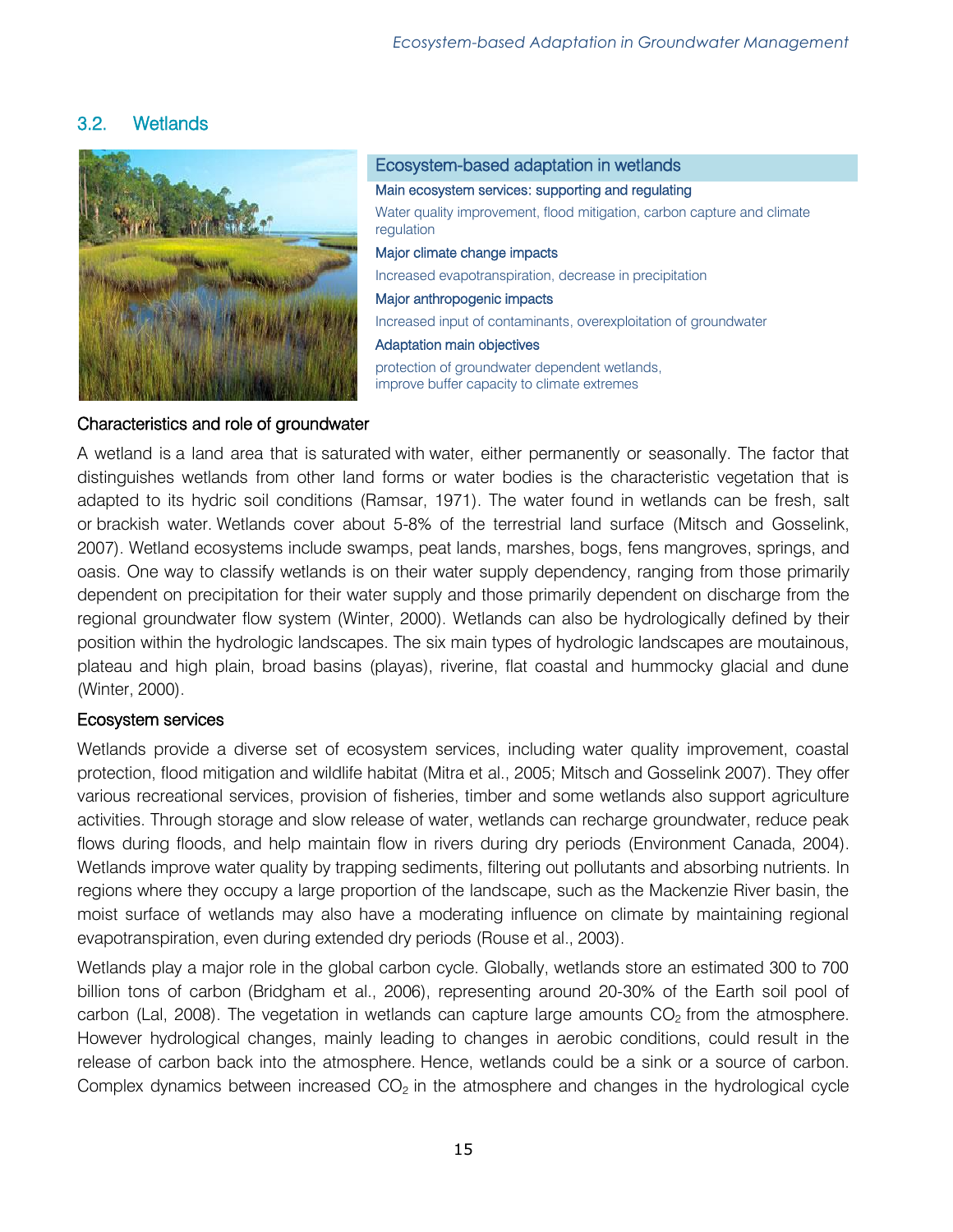# <span id="page-14-0"></span>3.2. Wetlands



#### Ecosystem-based adaptation in wetlands

Main ecosystem services: supporting and regulating

Water quality improvement, flood mitigation, carbon capture and climate regulation

#### Major climate change impacts

Increased evapotranspiration, decrease in precipitation

#### Major anthropogenic impacts

Increased input of contaminants, overexploitation of groundwater

#### Adaptation main objectives

protection of groundwater dependent wetlands, improve buffer capacity to climate extremes

#### Characteristics and role of groundwater

A wetland is a land area that is saturated with water, either permanently or seasonally. The factor that distinguishes wetlands from other land forms or water bodies is the characteristic vegetation that is adapted to its hydric soil conditions (Ramsar, 1971). The water found in wetlands can be fresh, salt or brackish water. Wetlands cover about 5-8% of the terrestrial land surface (Mitsch and Gosselink, 2007). Wetland ecosystems include swamps, peat lands, marshes, bogs, fens mangroves, springs, and oasis. One way to classify wetlands is on their water supply dependency, ranging from those primarily dependent on precipitation for their water supply and those primarily dependent on discharge from the regional groundwater flow system (Winter, 2000). Wetlands can also be hydrologically defined by their position within the hydrologic landscapes. The six main types of hydrologic landscapes are moutainous, plateau and high plain, broad basins (playas), riverine, flat coastal and hummocky glacial and dune (Winter, 2000).

#### Ecosystem services

Wetlands provide a diverse set of ecosystem services, including water quality improvement, coastal protection, flood mitigation and wildlife habitat (Mitra et al., 2005; Mitsch and Gosselink 2007). They offer various recreational services, provision of fisheries, timber and some wetlands also support agriculture activities. Through storage and slow release of water, wetlands can recharge groundwater, reduce peak flows during floods, and help maintain flow in rivers during dry periods (Environment Canada, 2004). Wetlands improve water quality by trapping sediments, filtering out pollutants and absorbing nutrients. In regions where they occupy a large proportion of the landscape, such as the Mackenzie River basin, the moist surface of wetlands may also have a moderating influence on climate by maintaining regional evapotranspiration, even during extended dry periods (Rouse et al., 2003).

Wetlands play a major role in the global carbon cycle. Globally, wetlands store an estimated 300 to 700 billion tons of carbon (Bridgham et al., 2006), representing around 20-30% of the Earth soil pool of carbon (Lal, 2008). The vegetation in wetlands can capture large amounts  $CO<sub>2</sub>$  from the atmosphere. However hydrological changes, mainly leading to changes in aerobic conditions, could result in the release of carbon back into the atmosphere. Hence, wetlands could be a sink or a source of carbon. Complex dynamics between increased  $CO<sub>2</sub>$  in the atmosphere and changes in the hydrological cycle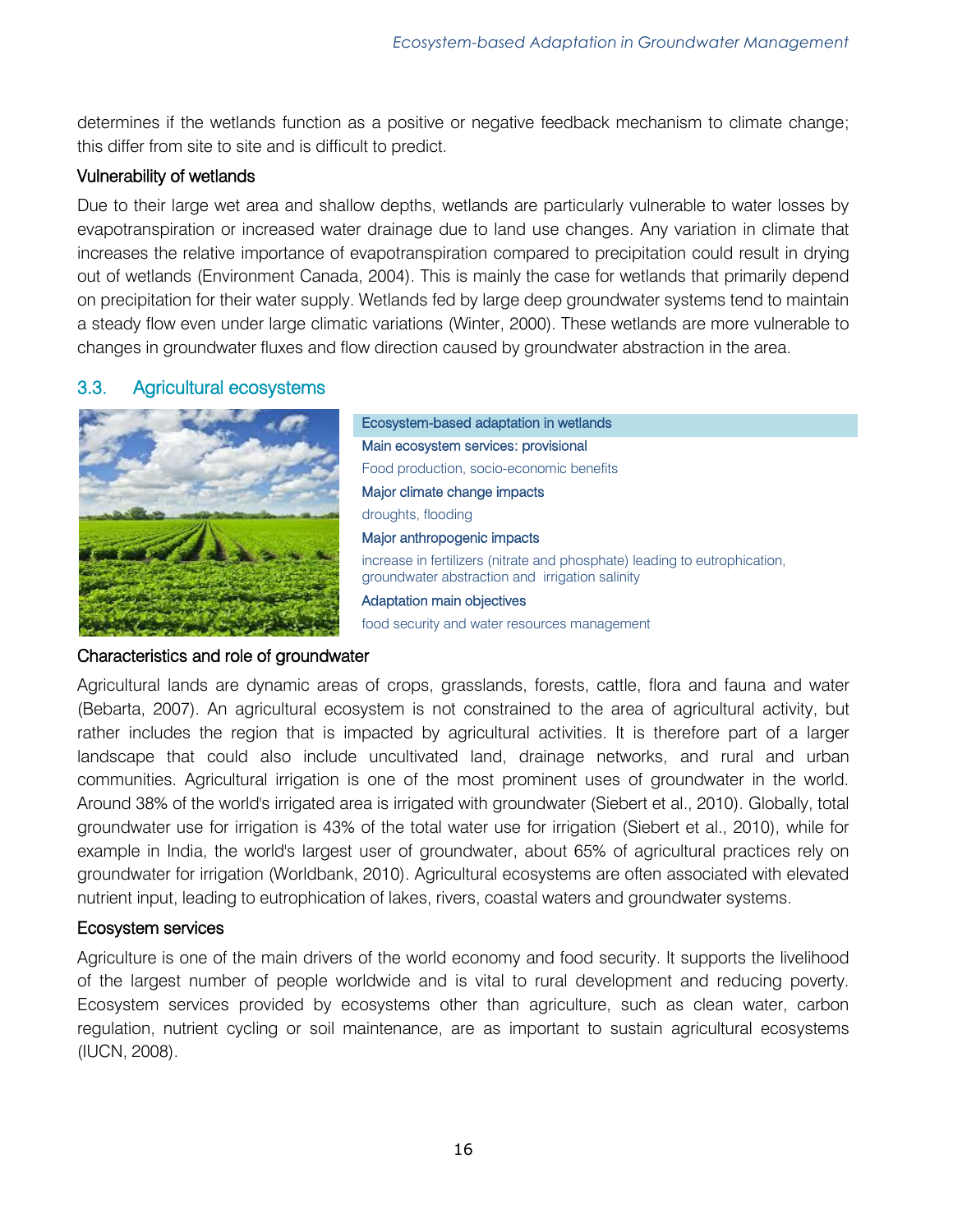determines if the wetlands function as a positive or negative feedback mechanism to climate change; this differ from site to site and is difficult to predict.

# Vulnerability of wetlands

Due to their large wet area and shallow depths, wetlands are particularly vulnerable to water losses by evapotranspiration or increased water drainage due to land use changes. Any variation in climate that increases the relative importance of evapotranspiration compared to precipitation could result in drying out of wetlands (Environment Canada, 2004). This is mainly the case for wetlands that primarily depend on precipitation for their water supply. Wetlands fed by large deep groundwater systems tend to maintain a steady flow even under large climatic variations (Winter, 2000). These wetlands are more vulnerable to changes in groundwater fluxes and flow direction caused by groundwater abstraction in the area.

# <span id="page-15-0"></span>3.3. Agricultural ecosystems



Ecosystem-based adaptation in wetlands Main ecosystem services: provisional Food production, socio-economic benefits Major climate change impacts droughts, flooding Major anthropogenic impacts increase in fertilizers (nitrate and phosphate) leading to eutrophication, groundwater abstraction and irrigation salinity Adaptation main objectives food security and water resources management

# Characteristics and role of groundwater

Agricultural lands are dynamic areas of crops, grasslands, forests, cattle, flora and fauna and water (Bebarta, 2007). An agricultural ecosystem is not constrained to the area of agricultural activity, but rather includes the region that is impacted by agricultural activities. It is therefore part of a larger landscape that could also include uncultivated land, drainage networks, and rural and urban communities. Agricultural irrigation is one of the most prominent uses of groundwater in the world. Around 38% of the world's irrigated area is irrigated with groundwater (Siebert et al., 2010). Globally, total groundwater use for irrigation is 43% of the total water use for irrigation (Siebert et al., 2010), while for example in India, the world's largest user of groundwater, about 65% of agricultural practices rely on groundwater for irrigation (Worldbank, 2010). Agricultural ecosystems are often associated with elevated nutrient input, leading to eutrophication of lakes, rivers, coastal waters and groundwater systems.

# Ecosystem services

Agriculture is one of the main drivers of the world economy and food security. It supports the livelihood of the largest number of people worldwide and is vital to rural development and reducing poverty. Ecosystem services provided by ecosystems other than agriculture, such as clean water, carbon regulation, nutrient cycling or soil maintenance, are as important to sustain agricultural ecosystems (IUCN, 2008).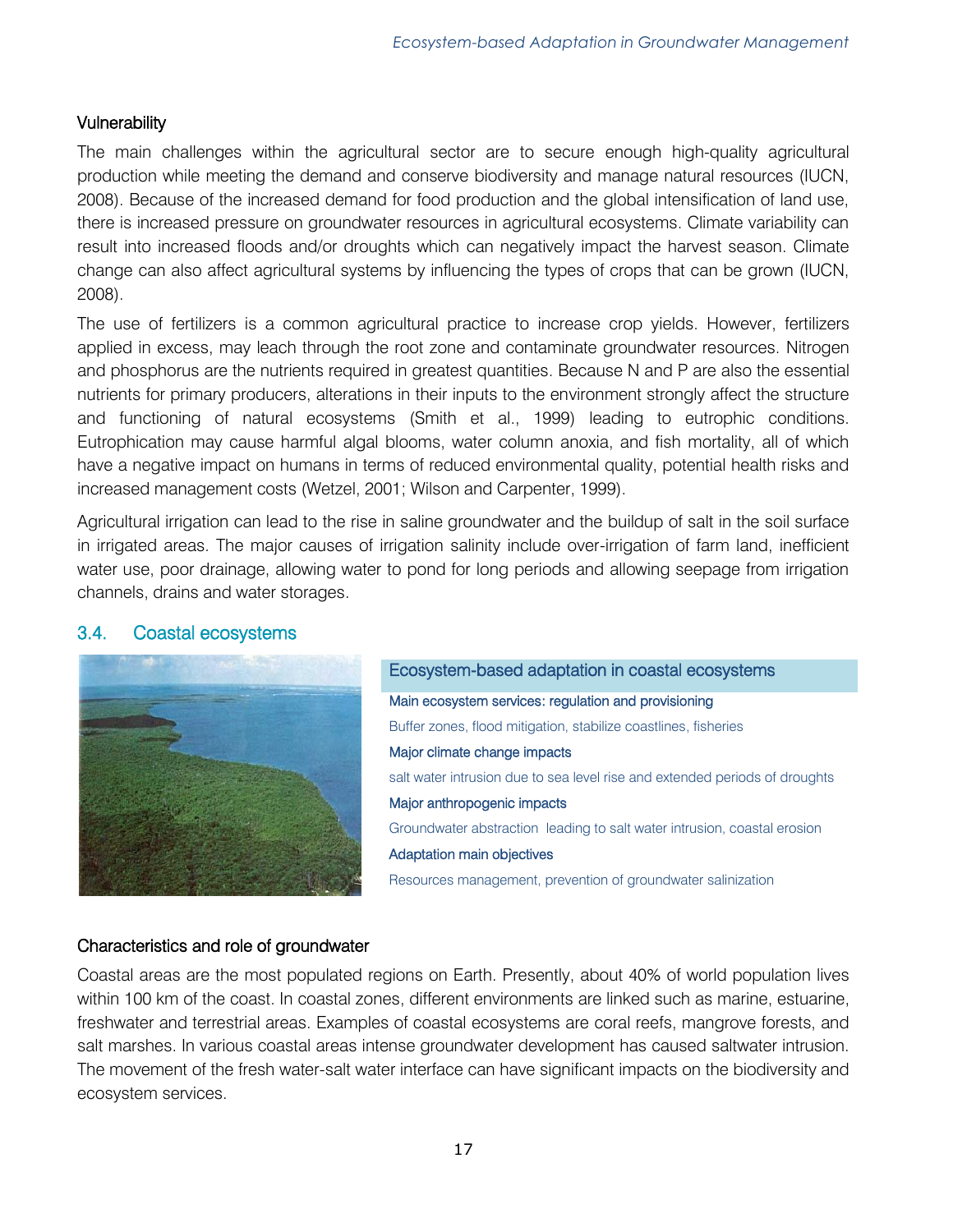#### **Vulnerability**

The main challenges within the agricultural sector are to secure enough high-quality agricultural production while meeting the demand and conserve biodiversity and manage natural resources (IUCN, 2008). Because of the increased demand for food production and the global intensification of land use, there is increased pressure on groundwater resources in agricultural ecosystems. Climate variability can result into increased floods and/or droughts which can negatively impact the harvest season. Climate change can also affect agricultural systems by influencing the types of crops that can be grown (IUCN, 2008).

The use of fertilizers is a common agricultural practice to increase crop yields. However, fertilizers applied in excess, may leach through the root zone and contaminate groundwater resources. Nitrogen and phosphorus are the nutrients required in greatest quantities. Because N and P are also the essential nutrients for primary producers, alterations in their inputs to the environment strongly affect the structure and functioning of natural ecosystems (Smith et al., 1999) leading to eutrophic conditions. Eutrophication may cause harmful algal blooms, water column anoxia, and fish mortality, all of which have a negative impact on humans in terms of reduced environmental quality, potential health risks and increased management costs (Wetzel, 2001; Wilson and Carpenter, 1999).

Agricultural irrigation can lead to the rise in saline groundwater and the buildup of salt in the soil surface in irrigated areas. The major causes of irrigation salinity include over-irrigation of farm land, inefficient water use, poor drainage, allowing water to pond for long periods and allowing seepage from irrigation channels, drains and water storages.

#### <span id="page-16-0"></span>3.4. Coastal ecosystems



# Ecosystem-based adaptation in coastal ecosystems Main ecosystem services: regulation and provisioning Buffer zones, flood mitigation, stabilize coastlines, fisheries Major climate change impacts salt water intrusion due to sea level rise and extended periods of droughts Major anthropogenic impacts Groundwater abstraction leading to salt water intrusion, coastal erosion Adaptation main objectives Resources management, prevention of groundwater salinization

#### Characteristics and role of groundwater

Coastal areas are the most populated regions on Earth. Presently, about 40% of world population lives within 100 km of the coast. In coastal zones, different environments are linked such as marine, estuarine, freshwater and terrestrial areas. Examples of coastal ecosystems are coral reefs, mangrove forests, and salt marshes. In various coastal areas intense groundwater development has caused saltwater intrusion. The movement of the fresh water-salt water interface can have significant impacts on the biodiversity and ecosystem services.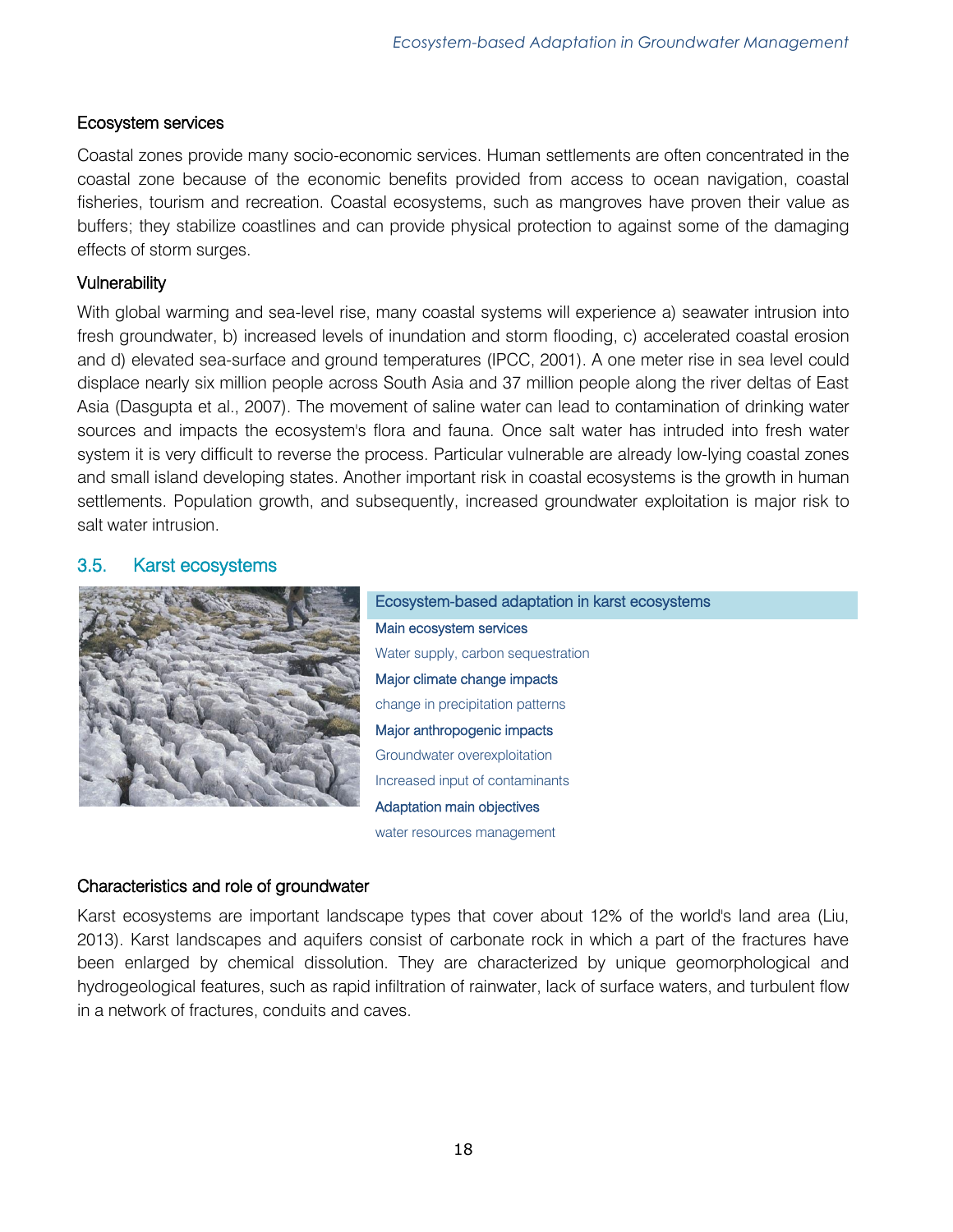# Ecosystem services

Coastal zones provide many socio-economic services. Human settlements are often concentrated in the coastal zone because of the economic benefits provided from access to ocean navigation, coastal fisheries, tourism and recreation. Coastal ecosystems, such as mangroves have proven their value as buffers; they stabilize coastlines and can provide physical protection to against some of the damaging effects of storm surges.

# **Vulnerability**

With global warming and sea-level rise, many coastal systems will experience a) seawater intrusion into fresh groundwater, b) increased levels of inundation and storm flooding, c) accelerated coastal erosion and d) elevated sea-surface and ground temperatures (IPCC, 2001). A one meter rise in sea level could displace nearly six million people across South Asia and 37 million people along the river deltas of East Asia (Dasgupta et al., 2007). The movement of saline water can lead to contamination of drinking water sources and impacts the ecosystem's flora and fauna. Once salt water has intruded into fresh water system it is very difficult to reverse the process. Particular vulnerable are already low-lying coastal zones and small island developing states. Another important risk in coastal ecosystems is the growth in human settlements. Population growth, and subsequently, increased groundwater exploitation is major risk to salt water intrusion.

# <span id="page-17-0"></span>3.5. Karst ecosystems



Ecosystem-based adaptation in karst ecosystems Main ecosystem services Water supply, carbon sequestration Major climate change impacts change in precipitation patterns Major anthropogenic impacts Groundwater overexploitation Increased input of contaminants Adaptation main objectives water resources management

# Characteristics and role of groundwater

Karst ecosystems are important landscape types that cover about 12% of the world's land area (Liu, 2013). Karst landscapes and aquifers consist of carbonate rock in which a part of the fractures have been enlarged by chemical dissolution. They are characterized by unique geomorphological and hydrogeological features, such as rapid infiltration of rainwater, lack of surface waters, and turbulent flow in a network of fractures, conduits and caves.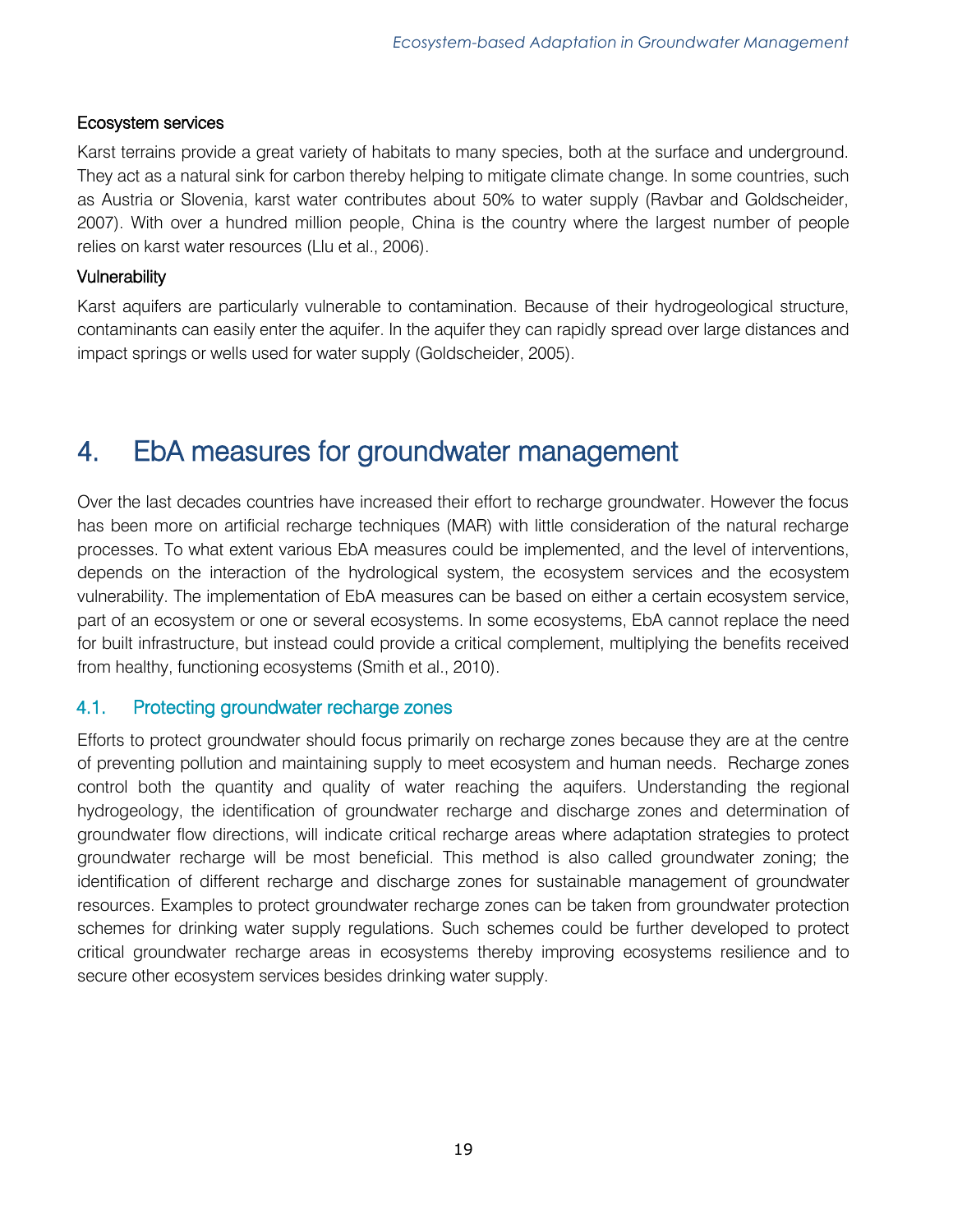#### Ecosystem services

Karst terrains provide a great variety of habitats to many species, both at the surface and underground. They act as a natural sink for carbon thereby helping to mitigate climate change. In some countries, such as Austria or Slovenia, karst water contributes about 50% to water supply (Ravbar and Goldscheider, 2007). With over a hundred million people, China is the country where the largest number of people relies on karst water resources (Llu et al., 2006).

#### **Vulnerability**

Karst aquifers are particularly vulnerable to contamination. Because of their hydrogeological structure, contaminants can easily enter the aquifer. In the aquifer they can rapidly spread over large distances and impact springs or wells used for water supply (Goldscheider, 2005).

# <span id="page-18-0"></span>4. EbA measures for groundwater management

Over the last decades countries have increased their effort to recharge groundwater. However the focus has been more on artificial recharge techniques (MAR) with little consideration of the natural recharge processes. To what extent various EbA measures could be implemented, and the level of interventions, depends on the interaction of the hydrological system, the ecosystem services and the ecosystem vulnerability. The implementation of EbA measures can be based on either a certain ecosystem service, part of an ecosystem or one or several ecosystems. In some ecosystems, EbA cannot replace the need for built infrastructure, but instead could provide a critical complement, multiplying the benefits received from healthy, functioning ecosystems (Smith et al., 2010).

# <span id="page-18-1"></span>4.1. Protecting groundwater recharge zones

Efforts to protect groundwater should focus primarily on recharge zones because they are at the centre of preventing pollution and maintaining supply to meet ecosystem and human needs. Recharge zones control both the quantity and quality of water reaching the aquifers. Understanding the regional hydrogeology, the identification of groundwater recharge and discharge zones and determination of groundwater flow directions, will indicate critical recharge areas where adaptation strategies to protect groundwater recharge will be most beneficial. This method is also called groundwater zoning; the identification of different recharge and discharge zones for sustainable management of groundwater resources. Examples to protect groundwater recharge zones can be taken from groundwater protection schemes for drinking water supply regulations. Such schemes could be further developed to protect critical groundwater recharge areas in ecosystems thereby improving ecosystems resilience and to secure other ecosystem services besides drinking water supply.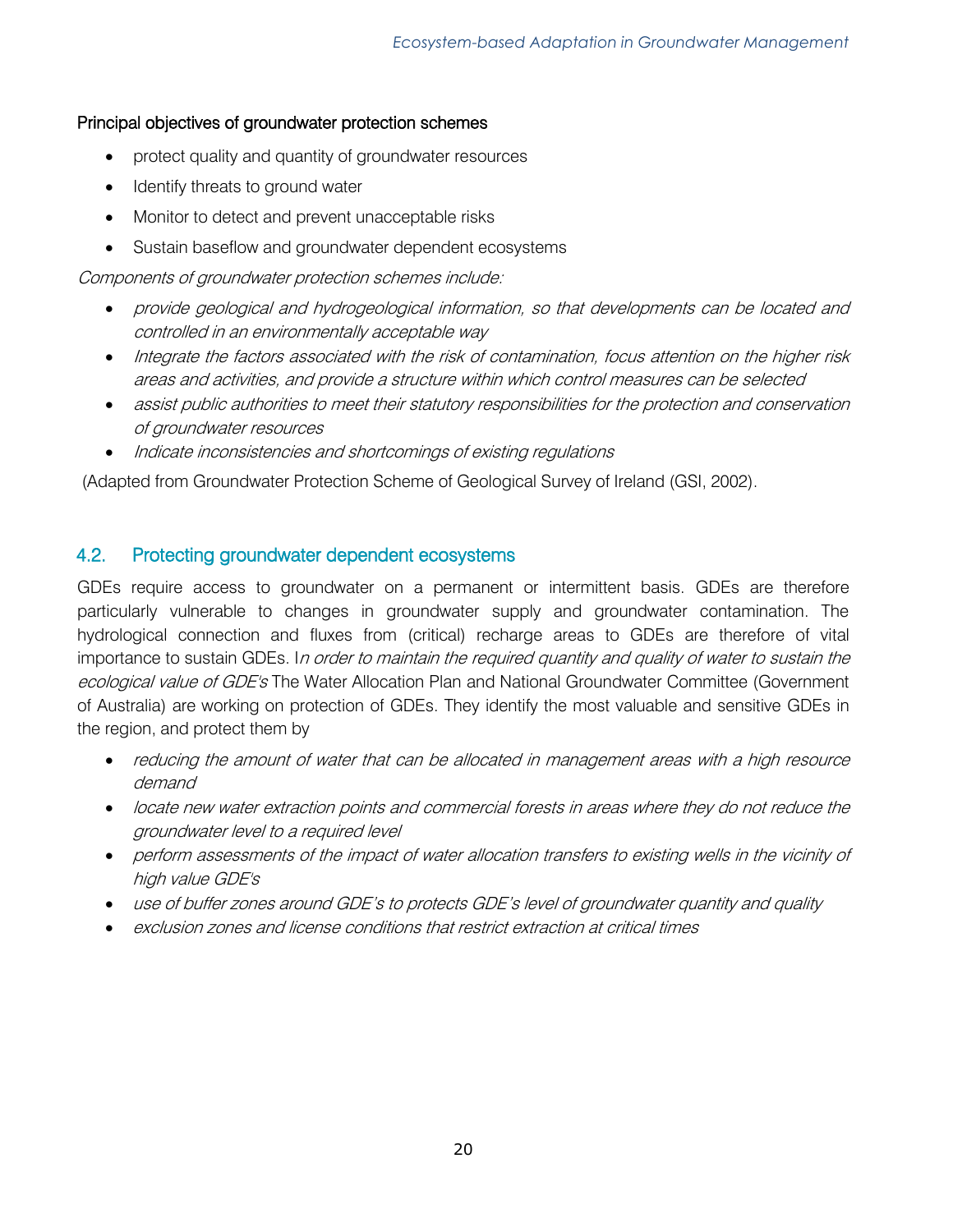# Principal objectives of groundwater protection schemes

- protect quality and quantity of groundwater resources
- Identify threats to ground water
- Monitor to detect and prevent unacceptable risks
- Sustain baseflow and groundwater dependent ecosystems

Components of groundwater protection schemes include:

- provide geological and hydrogeological information, so that developments can be located and controlled in an environmentally acceptable way
- Integrate the factors associated with the risk of contamination, focus attention on the higher risk areas and activities, and provide a structure within which control measures can be selected
- assist public authorities to meet their statutory responsibilities for the protection and conservation of groundwater resources
- Indicate inconsistencies and shortcomings of existing regulations

(Adapted from Groundwater Protection Scheme of Geological Survey of Ireland (GSI, 2002).

# <span id="page-19-0"></span>4.2. Protecting groundwater dependent ecosystems

GDEs require access to groundwater on a permanent or intermittent basis. GDEs are therefore particularly vulnerable to changes in groundwater supply and groundwater contamination. The hydrological connection and fluxes from (critical) recharge areas to GDEs are therefore of vital importance to sustain GDEs. In order to maintain the required quantity and quality of water to sustain the ecological value of GDE's The Water Allocation Plan and National Groundwater Committee (Government of Australia) are working on protection of GDEs. They identify the most valuable and sensitive GDEs in the region, and protect them by

- reducing the amount of water that can be allocated in management areas with a high resource demand
- locate new water extraction points and commercial forests in areas where they do not reduce the groundwater level to a required level
- perform assessments of the impact of water allocation transfers to existing wells in the vicinity of high value GDE's
- use of buffer zones around GDE's to protects GDE's level of groundwater quantity and quality
- <span id="page-19-1"></span>exclusion zones and license conditions that restrict extraction at critical times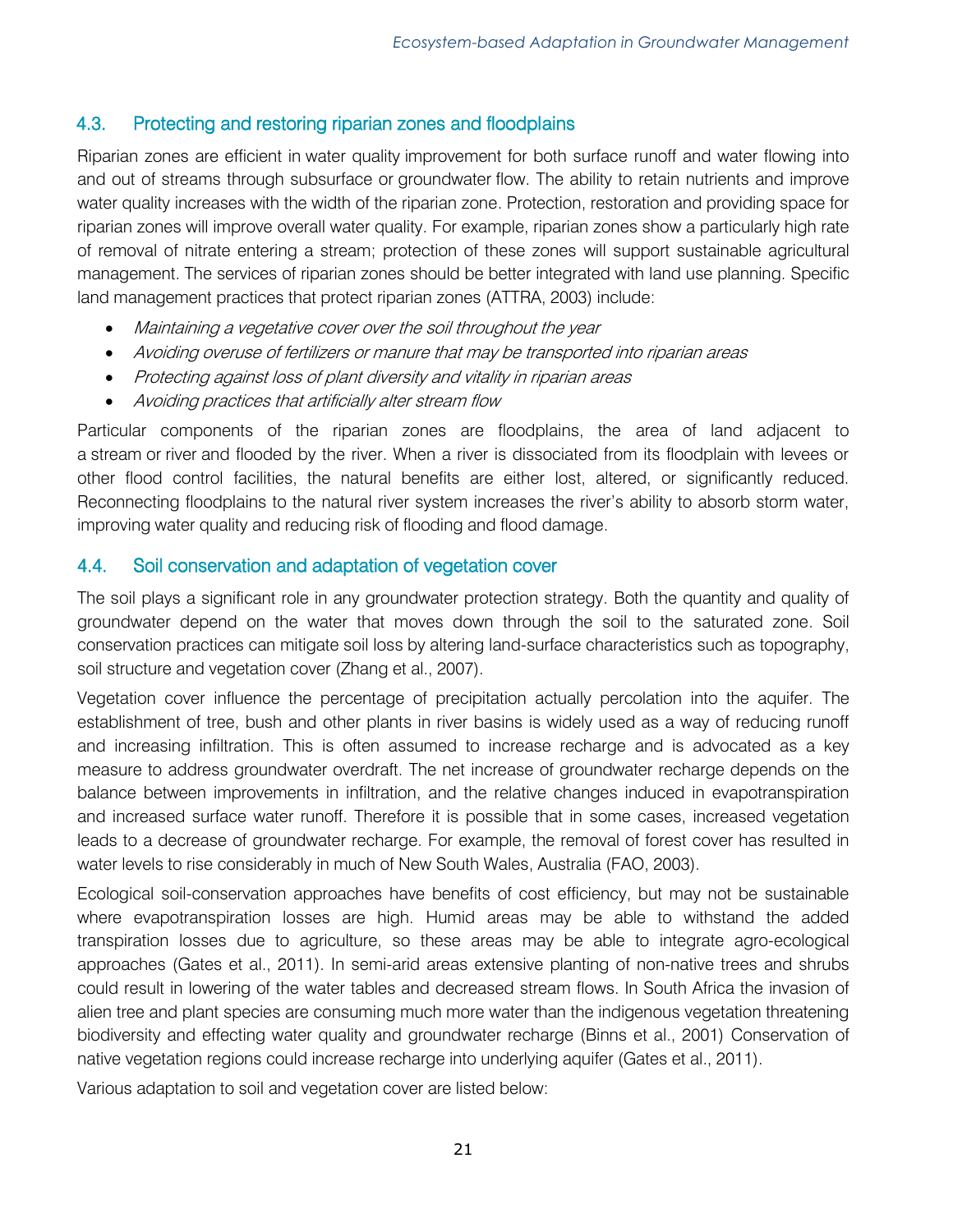# 4.3. Protecting and restoring riparian zones and floodplains

Riparian zones are efficient in water quality improvement for both surface runoff and water flowing into and out of streams through subsurface or groundwater flow. The ability to retain nutrients and improve water quality increases with the width of the riparian zone. Protection, restoration and providing space for riparian zones will improve overall water quality. For example, riparian zones show a particularly high rate of removal of nitrate entering a stream; protection of these zones will support sustainable agricultural management. The services of riparian zones should be better integrated with land use planning. Specific land management practices that protect riparian zones (ATTRA, 2003) include:

- Maintaining a vegetative cover over the soil throughout the year
- Avoiding overuse of fertilizers or manure that may be transported into riparian areas
- Protecting against loss of plant diversity and vitality in riparian areas
- Avoiding practices that artificially alter stream flow

Particular components of the riparian zones are floodplains, the area of land adjacent to a stream or river and flooded by the river. When a river is dissociated from its floodplain with levees or other flood control facilities, the natural benefits are either lost, altered, or significantly reduced. Reconnecting floodplains to the natural river system increases the river's ability to absorb storm water, improving water quality and reducing risk of flooding and flood damage.

# <span id="page-20-0"></span>4.4. Soil conservation and adaptation of vegetation cover

The soil plays a significant role in any groundwater protection strategy. Both the quantity and quality of groundwater depend on the water that moves down through the soil to the saturated zone. Soil conservation practices can mitigate soil loss by altering land-surface characteristics such as topography, soil structure and vegetation cover (Zhang et al., 2007).

Vegetation cover influence the percentage of precipitation actually percolation into the aquifer. The establishment of tree, bush and other plants in river basins is widely used as a way of reducing runoff and increasing infiltration. This is often assumed to increase recharge and is advocated as a key measure to address groundwater overdraft. The net increase of groundwater recharge depends on the balance between improvements in infiltration, and the relative changes induced in evapotranspiration and increased surface water runoff. Therefore it is possible that in some cases, increased vegetation leads to a decrease of groundwater recharge. For example, the removal of forest cover has resulted in water levels to rise considerably in much of New South Wales, Australia (FAO, 2003).

Ecological soil-conservation approaches have benefits of cost efficiency, but may not be sustainable where evapotranspiration losses are high. Humid areas may be able to withstand the added transpiration losses due to agriculture, so these areas may be able to integrate agro-ecological approaches (Gates et al., 2011). In semi-arid areas extensive planting of non-native trees and shrubs could result in lowering of the water tables and decreased stream flows. In South Africa the invasion of alien tree and plant species are consuming much more water than the indigenous vegetation threatening biodiversity and effecting water quality and groundwater recharge (Binns et al., 2001) Conservation of native vegetation regions could increase recharge into underlying aquifer (Gates et al., 2011).

Various adaptation to soil and vegetation cover are listed below: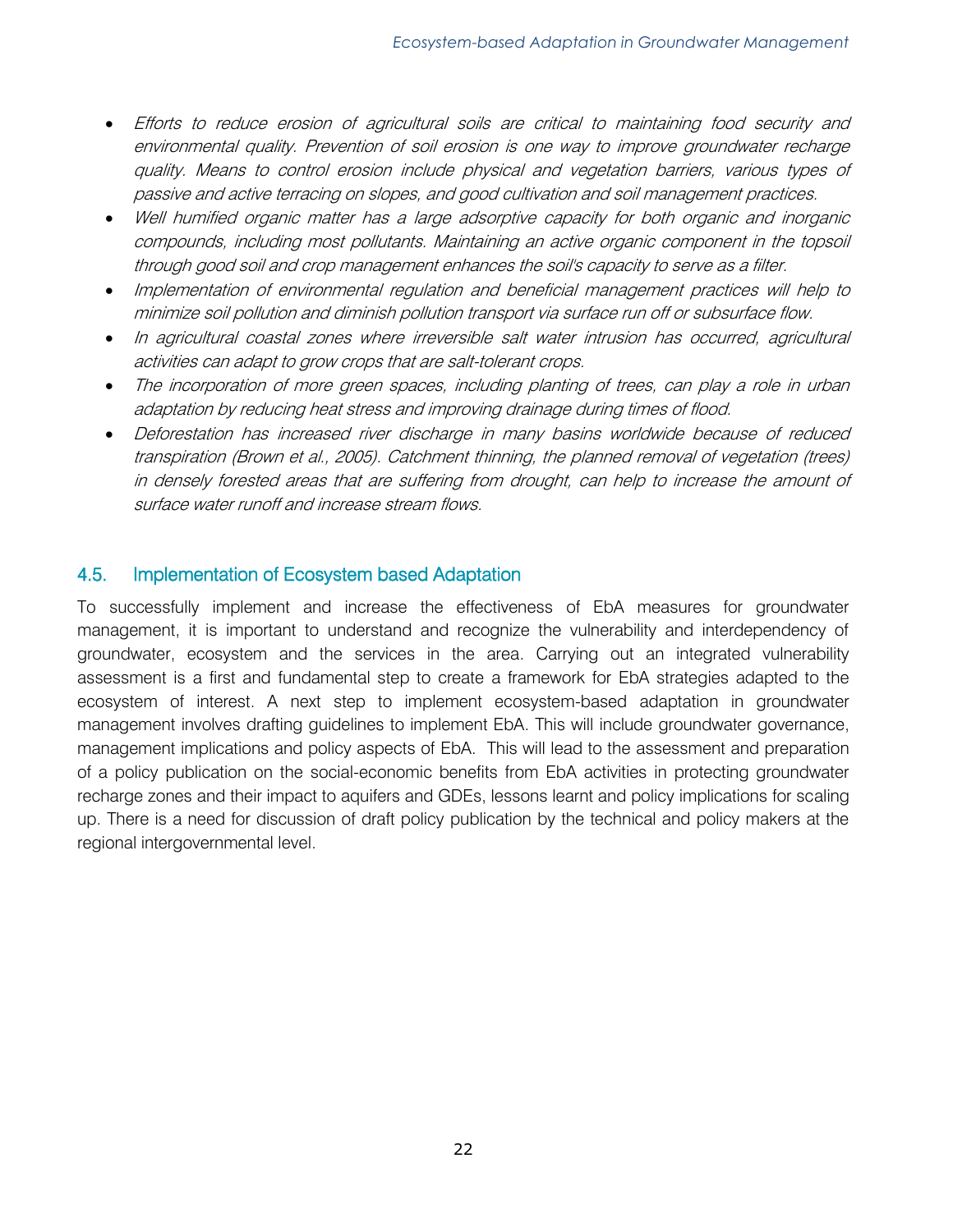- Efforts to reduce erosion of agricultural soils are critical to maintaining food security and environmental quality. Prevention of soil erosion is one way to improve groundwater recharge quality. Means to control erosion include physical and vegetation barriers, various types of passive and active terracing on slopes, and good cultivation and soil management practices.
- Well humified organic matter has a large adsorptive capacity for both organic and inorganic compounds, including most pollutants. Maintaining an active organic component in the topsoil through good soil and crop management enhances the soil's capacity to serve as a filter.
- Implementation of environmental regulation and beneficial management practices will help to minimize soil pollution and diminish pollution transport via surface run off or subsurface flow.
- In agricultural coastal zones where irreversible salt water intrusion has occurred, agricultural activities can adapt to grow crops that are salt-tolerant crops.
- The incorporation of more green spaces, including planting of trees, can play a role in urban adaptation by reducing heat stress and improving drainage during times of flood.
- Deforestation has increased river discharge in many basins worldwide because of reduced transpiration (Brown et al., 2005). Catchment thinning, the planned removal of vegetation (trees) in densely forested areas that are suffering from drought, can help to increase the amount of surface water runoff and increase stream flows.

# <span id="page-21-0"></span>4.5. Implementation of Ecosystem based Adaptation

To successfully implement and increase the effectiveness of EbA measures for groundwater management, it is important to understand and recognize the vulnerability and interdependency of groundwater, ecosystem and the services in the area. Carrying out an integrated vulnerability assessment is a first and fundamental step to create a framework for EbA strategies adapted to the ecosystem of interest. A next step to implement ecosystem-based adaptation in groundwater management involves drafting guidelines to implement EbA. This will include groundwater governance, management implications and policy aspects of EbA. This will lead to the assessment and preparation of a policy publication on the social-economic benefits from EbA activities in protecting groundwater recharge zones and their impact to aquifers and GDEs, lessons learnt and policy implications for scaling up. There is a need for discussion of draft policy publication by the technical and policy makers at the regional intergovernmental level.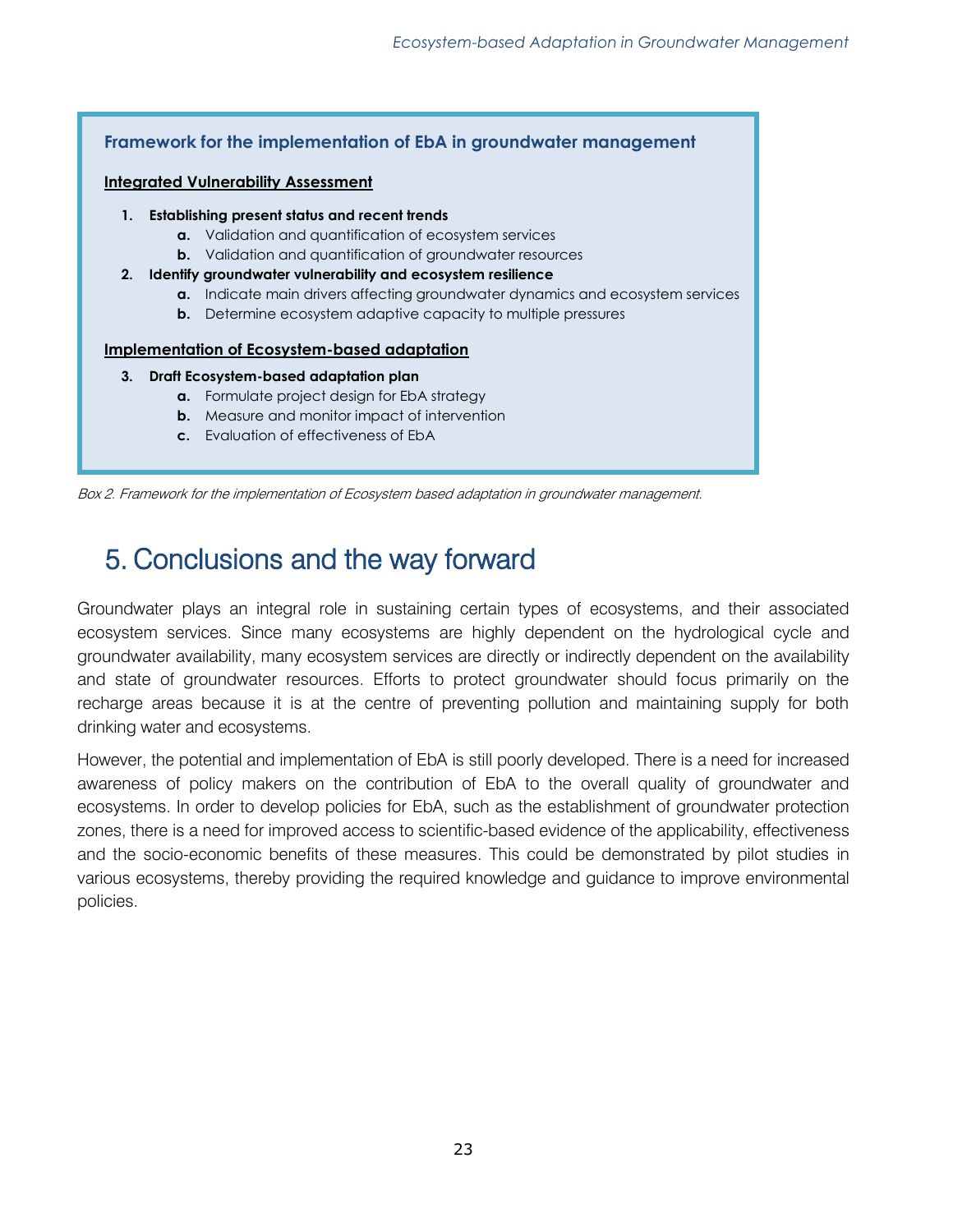

<span id="page-22-0"></span>5. Conclusions and the way forward

Groundwater plays an integral role in sustaining certain types of ecosystems, and their associated ecosystem services. Since many ecosystems are highly dependent on the hydrological cycle and groundwater availability, many ecosystem services are directly or indirectly dependent on the availability and state of groundwater resources. Efforts to protect groundwater should focus primarily on the recharge areas because it is at the centre of preventing pollution and maintaining supply for both drinking water and ecosystems.

However, the potential and implementation of EbA is still poorly developed. There is a need for increased awareness of policy makers on the contribution of EbA to the overall quality of groundwater and ecosystems. In order to develop policies for EbA, such as the establishment of groundwater protection zones, there is a need for improved access to scientific-based evidence of the applicability, effectiveness and the socio-economic benefits of these measures. This could be demonstrated by pilot studies in various ecosystems, thereby providing the required knowledge and guidance to improve environmental policies.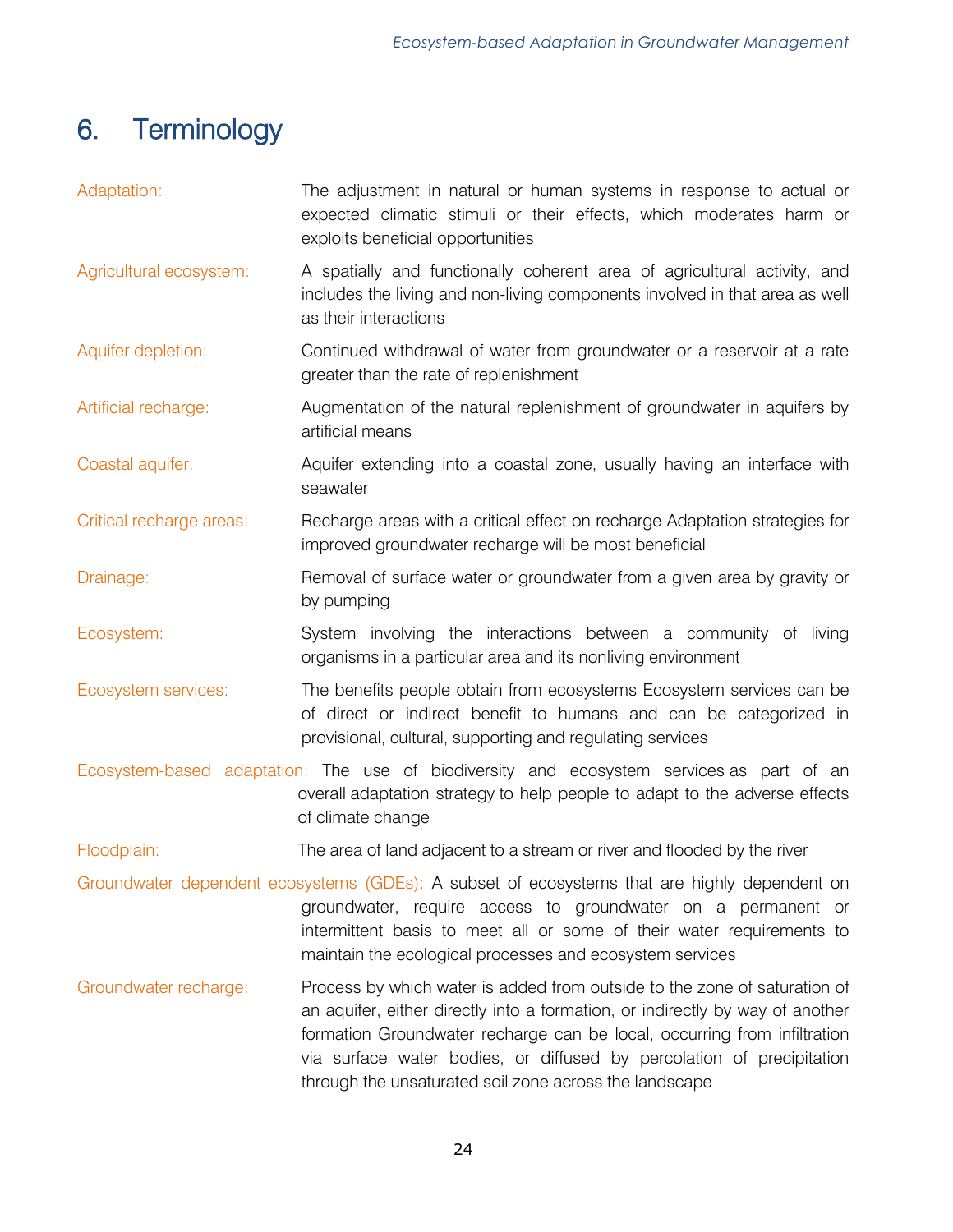# <span id="page-23-0"></span>6. Terminology

| Adaptation:                                                                                                                                                                                                                                                                                       | The adjustment in natural or human systems in response to actual or<br>expected climatic stimuli or their effects, which moderates harm or<br>exploits beneficial opportunities                                                                                                                                                                                           |  |
|---------------------------------------------------------------------------------------------------------------------------------------------------------------------------------------------------------------------------------------------------------------------------------------------------|---------------------------------------------------------------------------------------------------------------------------------------------------------------------------------------------------------------------------------------------------------------------------------------------------------------------------------------------------------------------------|--|
| Agricultural ecosystem:                                                                                                                                                                                                                                                                           | A spatially and functionally coherent area of agricultural activity, and<br>includes the living and non-living components involved in that area as well<br>as their interactions                                                                                                                                                                                          |  |
| Aquifer depletion:                                                                                                                                                                                                                                                                                | Continued withdrawal of water from groundwater or a reservoir at a rate<br>greater than the rate of replenishment                                                                                                                                                                                                                                                         |  |
| Artificial recharge:                                                                                                                                                                                                                                                                              | Augmentation of the natural replenishment of groundwater in aquifers by<br>artificial means                                                                                                                                                                                                                                                                               |  |
| Coastal aquifer:                                                                                                                                                                                                                                                                                  | Aquifer extending into a coastal zone, usually having an interface with<br>seawater                                                                                                                                                                                                                                                                                       |  |
| Critical recharge areas:                                                                                                                                                                                                                                                                          | Recharge areas with a critical effect on recharge Adaptation strategies for<br>improved groundwater recharge will be most beneficial                                                                                                                                                                                                                                      |  |
| Drainage:                                                                                                                                                                                                                                                                                         | Removal of surface water or groundwater from a given area by gravity or<br>by pumping                                                                                                                                                                                                                                                                                     |  |
| Ecosystem:                                                                                                                                                                                                                                                                                        | System involving the interactions between a community of living<br>organisms in a particular area and its nonliving environment                                                                                                                                                                                                                                           |  |
| Ecosystem services:                                                                                                                                                                                                                                                                               | The benefits people obtain from ecosystems Ecosystem services can be<br>of direct or indirect benefit to humans and can be categorized in<br>provisional, cultural, supporting and regulating services                                                                                                                                                                    |  |
| Ecosystem-based adaptation: The use of biodiversity and ecosystem services as part of an<br>overall adaptation strategy to help people to adapt to the adverse effects<br>of climate change                                                                                                       |                                                                                                                                                                                                                                                                                                                                                                           |  |
| Floodplain:                                                                                                                                                                                                                                                                                       | The area of land adjacent to a stream or river and flooded by the river                                                                                                                                                                                                                                                                                                   |  |
| Groundwater dependent ecosystems (GDEs): A subset of ecosystems that are highly dependent on<br>groundwater, require access to groundwater on a permanent or<br>intermittent basis to meet all or some of their water requirements to<br>maintain the ecological processes and ecosystem services |                                                                                                                                                                                                                                                                                                                                                                           |  |
| Groundwater recharge:                                                                                                                                                                                                                                                                             | Process by which water is added from outside to the zone of saturation of<br>an aquifer, either directly into a formation, or indirectly by way of another<br>formation Groundwater recharge can be local, occurring from infiltration<br>via surface water bodies, or diffused by percolation of precipitation<br>through the unsaturated soil zone across the landscape |  |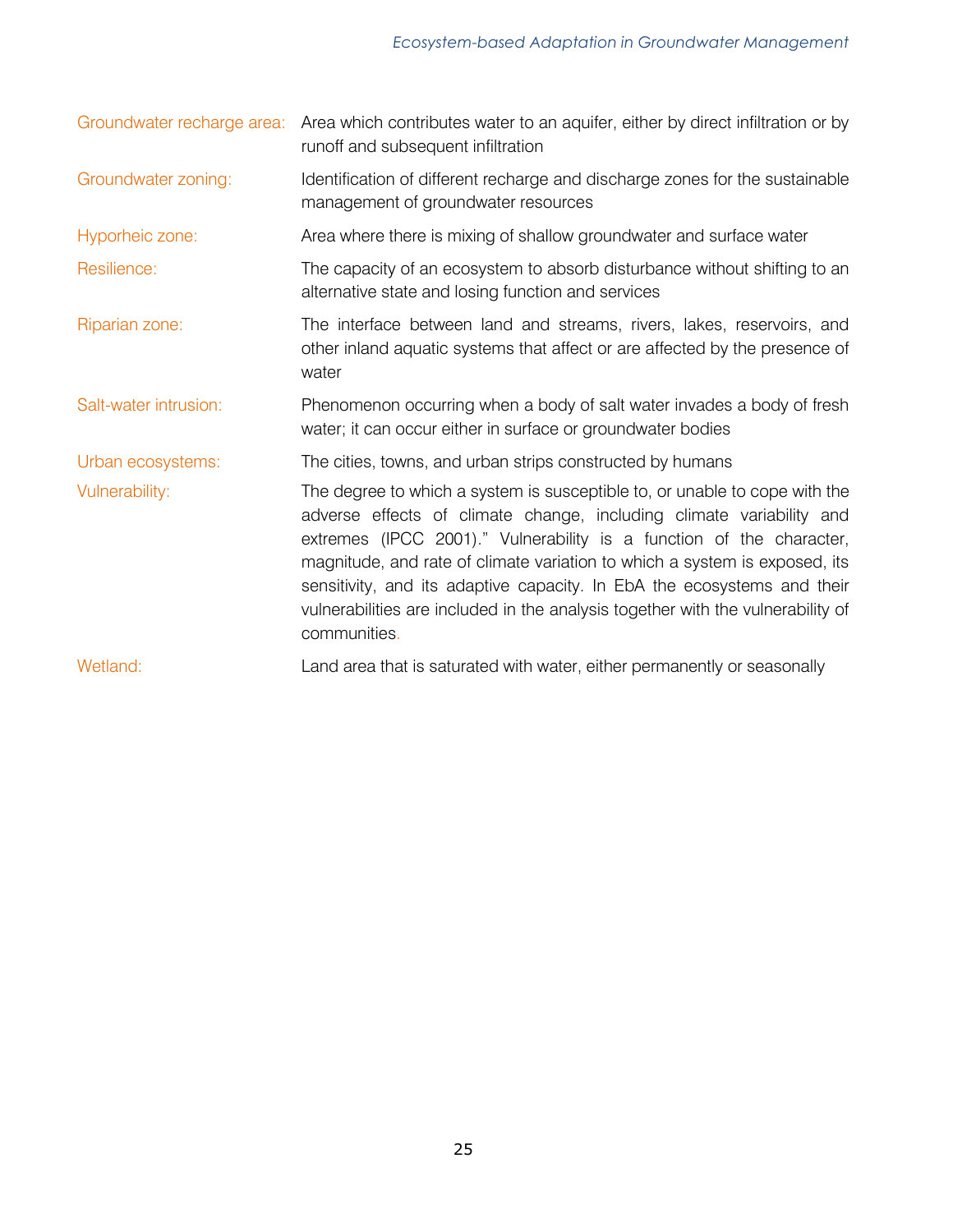| Groundwater recharge area: | Area which contributes water to an aquifer, either by direct infiltration or by<br>runoff and subsequent infiltration                                                                                                                                                                                                                                                                                                                                                                  |
|----------------------------|----------------------------------------------------------------------------------------------------------------------------------------------------------------------------------------------------------------------------------------------------------------------------------------------------------------------------------------------------------------------------------------------------------------------------------------------------------------------------------------|
| Groundwater zoning:        | Identification of different recharge and discharge zones for the sustainable<br>management of groundwater resources                                                                                                                                                                                                                                                                                                                                                                    |
| Hyporheic zone:            | Area where there is mixing of shallow groundwater and surface water                                                                                                                                                                                                                                                                                                                                                                                                                    |
| Resilience:                | The capacity of an ecosystem to absorb disturbance without shifting to an<br>alternative state and losing function and services                                                                                                                                                                                                                                                                                                                                                        |
| Riparian zone:             | The interface between land and streams, rivers, lakes, reservoirs, and<br>other inland aquatic systems that affect or are affected by the presence of<br>water                                                                                                                                                                                                                                                                                                                         |
| Salt-water intrusion:      | Phenomenon occurring when a body of salt water invades a body of fresh<br>water; it can occur either in surface or groundwater bodies                                                                                                                                                                                                                                                                                                                                                  |
| Urban ecosystems:          | The cities, towns, and urban strips constructed by humans                                                                                                                                                                                                                                                                                                                                                                                                                              |
| Vulnerability:             | The degree to which a system is susceptible to, or unable to cope with the<br>adverse effects of climate change, including climate variability and<br>extremes (IPCC 2001)." Vulnerability is a function of the character,<br>magnitude, and rate of climate variation to which a system is exposed, its<br>sensitivity, and its adaptive capacity. In EbA the ecosystems and their<br>vulnerabilities are included in the analysis together with the vulnerability of<br>communities. |
| Wetland:                   | Land area that is saturated with water, either permanently or seasonally                                                                                                                                                                                                                                                                                                                                                                                                               |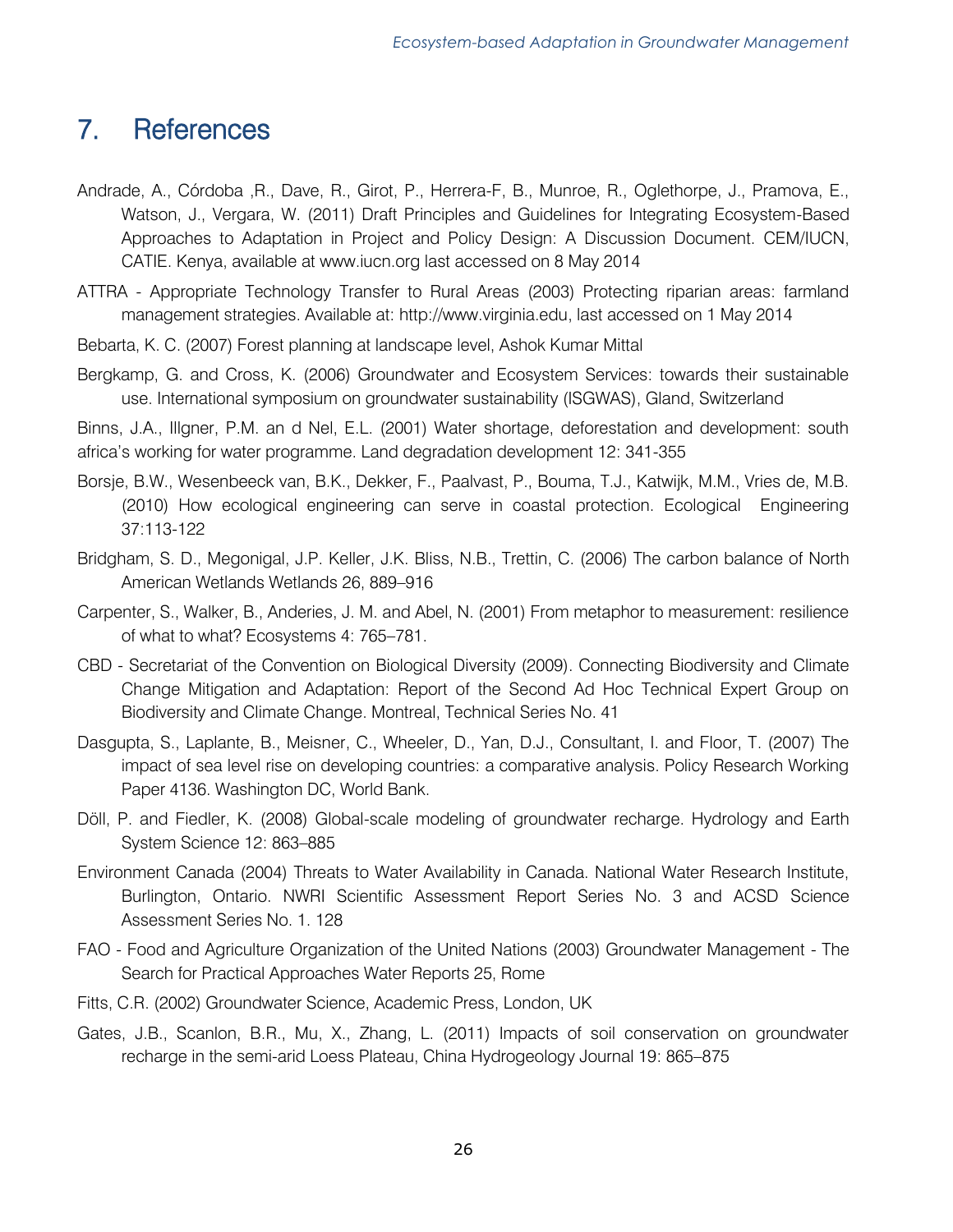# <span id="page-25-0"></span>7. References

- Andrade, A., Córdoba ,R., Dave, R., Girot, P., Herrera-F, B., Munroe, R., Oglethorpe, J., Pramova, E., Watson, J., Vergara, W. (2011) Draft Principles and Guidelines for Integrating Ecosystem-Based Approaches to Adaptation in Project and Policy Design: A Discussion Document. CEM/IUCN, CATIE. Kenya, available at www.iucn.org last accessed on 8 May 2014
- ATTRA Appropriate Technology Transfer to Rural Areas (2003) Protecting riparian areas: farmland management strategies. Available at: http://www.virginia.edu, last accessed on 1 May 2014
- Bebarta, K. C. (2007) Forest planning at landscape level, Ashok Kumar Mittal
- Bergkamp, G. and Cross, K. (2006) Groundwater and Ecosystem Services: towards their sustainable use. International symposium on groundwater sustainability (ISGWAS), Gland, Switzerland

Binns, J.A., Illgner, P.M. an d Nel, E.L. (2001) Water shortage, deforestation and development: south africa's working for water programme. Land degradation development 12: 341-355

- Borsje, B.W., Wesenbeeck van, B.K., Dekker, F., Paalvast, P., Bouma, T.J., Katwijk, M.M., Vries de, M.B. (2010) How ecological engineering can serve in coastal protection. Ecological Engineering 37:113-122
- Bridgham, S. D., Megonigal, J.P. Keller, J.K. Bliss, N.B., Trettin, C. (2006) The carbon balance of North American Wetlands Wetlands 26, 889–916
- Carpenter, S., Walker, B., Anderies, J. M. and Abel, N. (2001) From metaphor to measurement: resilience of what to what? Ecosystems 4: 765–781.
- CBD Secretariat of the Convention on Biological Diversity (2009). Connecting Biodiversity and Climate Change Mitigation and Adaptation: Report of the Second Ad Hoc Technical Expert Group on Biodiversity and Climate Change. Montreal, Technical Series No. 41
- Dasgupta, S., Laplante, B., Meisner, C., Wheeler, D., Yan, D.J., Consultant, I. and Floor, T. (2007) The impact of sea level rise on developing countries: a comparative analysis. Policy Research Working Paper 4136. Washington DC, World Bank.
- Döll, P. and Fiedler, K. (2008) Global-scale modeling of groundwater recharge. Hydrology and Earth System Science 12: 863–885
- Environment Canada (2004) Threats to Water Availability in Canada. National Water Research Institute, Burlington, Ontario. NWRI Scientific Assessment Report Series No. 3 and ACSD Science Assessment Series No. 1. 128
- FAO Food and Agriculture Organization of the United Nations (2003) Groundwater Management The Search for Practical Approaches Water Reports 25, Rome
- Fitts, C.R. (2002) Groundwater Science, Academic Press, London, UK
- Gates, J.B., Scanlon, B.R., Mu, X., Zhang, L. (2011) Impacts of soil conservation on groundwater recharge in the semi-arid Loess Plateau, China Hydrogeology Journal 19: 865–875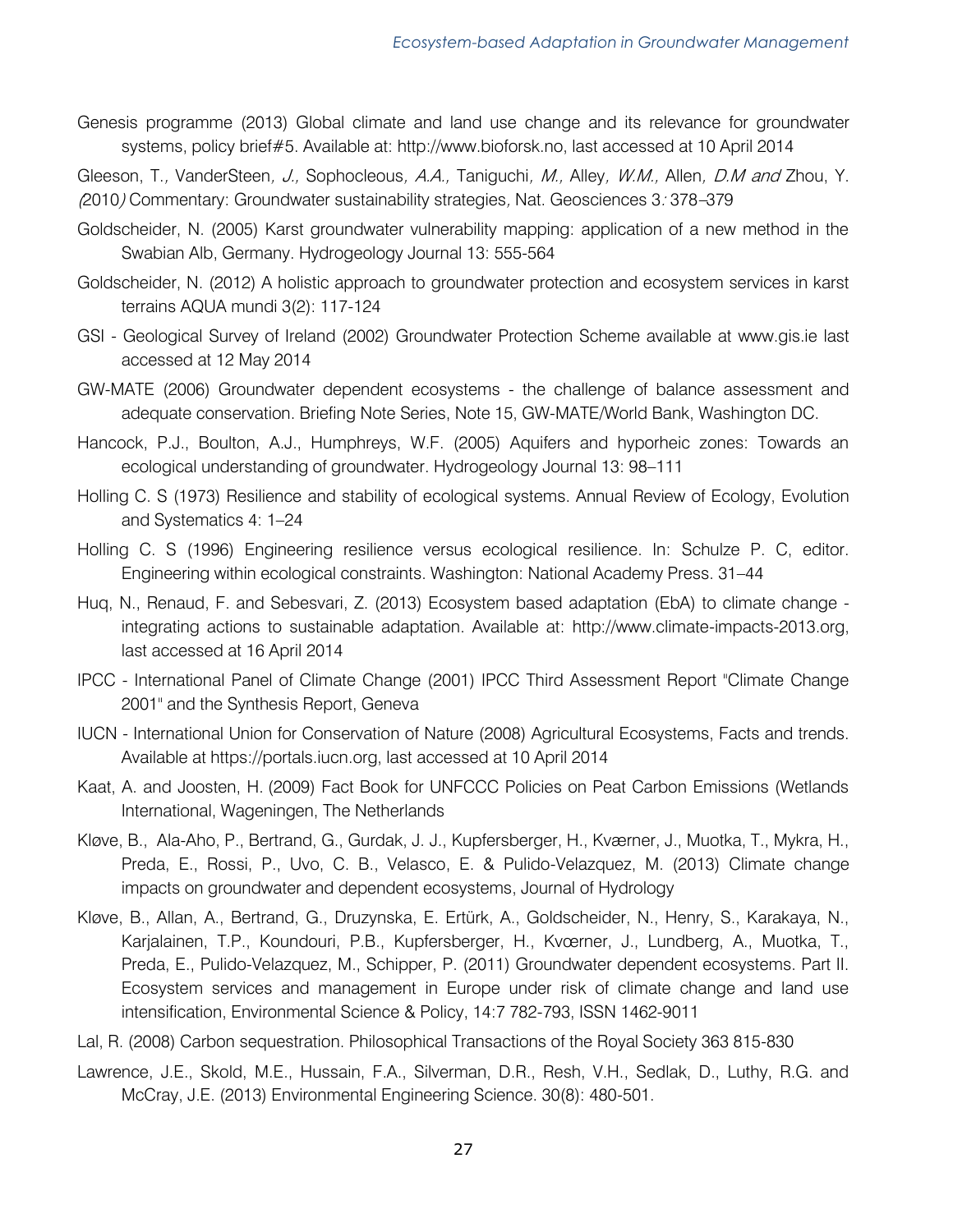Genesis programme (2013) Global climate and land use change and its relevance for groundwater systems, policy brief#5. Available at: http://www.bioforsk.no, last accessed at 10 April 2014

Gleeson, T., VanderSteen, J., Sophocleous, A.A., Taniguchi, M., Alley, W.M., Allen, D.M and Zhou, Y. (2010) Commentary: Groundwater sustainability strategies, Nat. Geosciences 3: 378–379

- Goldscheider, N. (2005) Karst groundwater vulnerability mapping: application of a new method in the Swabian Alb, Germany. Hydrogeology Journal 13: 555-564
- Goldscheider, N. (2012) A holistic approach to groundwater protection and ecosystem services in karst terrains AQUA mundi 3(2): 117-124
- GSI Geological Survey of Ireland (2002) Groundwater Protection Scheme available at www.gis.ie last accessed at 12 May 2014
- GW-MATE (2006) Groundwater dependent ecosystems the challenge of balance assessment and adequate conservation. Briefing Note Series, Note 15, GW-MATE/World Bank, Washington DC.
- Hancock, P.J., Boulton, A.J., Humphreys, W.F. (2005) Aquifers and hyporheic zones: Towards an ecological understanding of groundwater. Hydrogeology Journal 13: 98–111
- Holling C. S (1973) Resilience and stability of ecological systems. Annual Review of Ecology, Evolution and Systematics 4: 1–24
- Holling C. S (1996) Engineering resilience versus ecological resilience. In: Schulze P. C, editor. Engineering within ecological constraints. Washington: National Academy Press. 31–44
- Huq, N., Renaud, F. and Sebesvari, Z. (2013) Ecosystem based adaptation (EbA) to climate change integrating actions to sustainable adaptation. Available at: http://www.climate-impacts-2013.org, last accessed at 16 April 2014
- IPCC International Panel of Climate Change (2001) IPCC Third Assessment Report "Climate Change 2001" and the Synthesis Report, Geneva
- IUCN International Union for Conservation of Nature (2008) Agricultural Ecosystems, Facts and trends. Available at https://portals.iucn.org, last accessed at 10 April 2014
- Kaat, A. and Joosten, H. (2009) Fact Book for UNFCCC Policies on Peat Carbon Emissions (Wetlands International, Wageningen, The Netherlands
- Kløve, B., Ala-Aho, P., Bertrand, G., Gurdak, J. J., Kupfersberger, H., Kværner, J., Muotka, T., Mykra, H., Preda, E., Rossi, P., Uvo, C. B., Velasco, E. & Pulido-Velazquez, M. (2013) Climate change impacts on groundwater and dependent ecosystems, Journal of Hydrology
- Kløve, B., Allan, A., Bertrand, G., Druzynska, E. Ertürk, A., Goldscheider, N., Henry, S., Karakaya, N., Karjalainen, T.P., Koundouri, P.B., Kupfersberger, H., Kvœrner, J., Lundberg, A., Muotka, T., Preda, E., Pulido-Velazquez, M., Schipper, P. (2011) Groundwater dependent ecosystems. Part II. Ecosystem services and management in Europe under risk of climate change and land use intensification, Environmental Science & Policy, 14:7 782-793, ISSN 1462-9011
- Lal, R. (2008) Carbon sequestration. Philosophical Transactions of the Royal Society 363 815-830
- Lawrence, J.E., Skold, M.E., Hussain, F.A., Silverman, D.R., Resh, V.H., Sedlak, D., Luthy, R.G. and McCray, J.E. (2013) Environmental Engineering Science. 30(8): 480-501.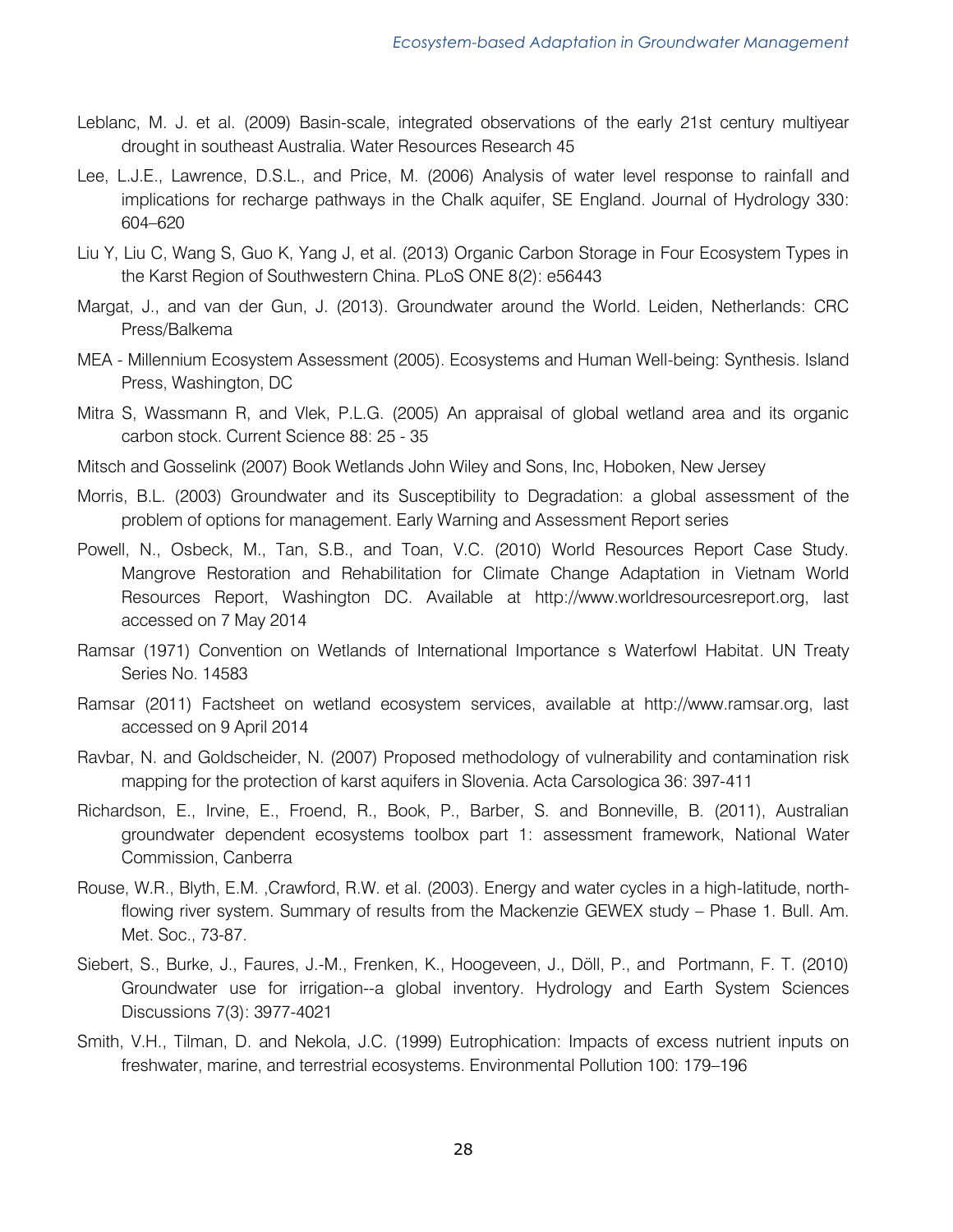- Leblanc, M. J. et al. (2009) Basin-scale, integrated observations of the early 21st century multiyear drought in southeast Australia. Water Resources Research 45
- Lee, L.J.E., Lawrence, D.S.L., and Price, M. (2006) Analysis of water level response to rainfall and implications for recharge pathways in the Chalk aquifer, SE England. Journal of Hydrology 330: 604–620
- Liu Y, Liu C, Wang S, Guo K, Yang J, et al. (2013) Organic Carbon Storage in Four Ecosystem Types in the Karst Region of Southwestern China. PLoS ONE 8(2): e56443
- Margat, J., and van der Gun, J. (2013). Groundwater around the World. Leiden, Netherlands: CRC Press/Balkema
- MEA Millennium Ecosystem Assessment (2005). Ecosystems and Human Well-being: Synthesis. Island Press, Washington, DC
- Mitra S, Wassmann R, and Vlek, P.L.G. (2005) An appraisal of global wetland area and its organic carbon stock. Current Science 88: 25 - 35
- Mitsch and Gosselink (2007) Book Wetlands John Wiley and Sons, Inc, Hoboken, New Jersey
- Morris, B.L. (2003) Groundwater and its Susceptibility to Degradation: a global assessment of the problem of options for management. Early Warning and Assessment Report series
- Powell, N., Osbeck, M., Tan, S.B., and Toan, V.C. (2010) World Resources Report Case Study. Mangrove Restoration and Rehabilitation for Climate Change Adaptation in Vietnam World Resources Report, Washington DC. Available at http://www.worldresourcesreport.org, last accessed on 7 May 2014
- Ramsar (1971) Convention on Wetlands of International Importance s Waterfowl Habitat. UN Treaty Series No. 14583
- Ramsar (2011) Factsheet on wetland ecosystem services, available at http://www.ramsar.org, last accessed on 9 April 2014
- Ravbar, N. and Goldscheider, N. (2007) Proposed methodology of vulnerability and contamination risk mapping for the protection of karst aquifers in Slovenia. Acta Carsologica 36: 397-411
- Richardson, E., Irvine, E., Froend, R., Book, P., Barber, S. and Bonneville, B. (2011), Australian groundwater dependent ecosystems toolbox part 1: assessment framework, National Water Commission, Canberra
- Rouse, W.R., Blyth, E.M. ,Crawford, R.W. et al. (2003). Energy and water cycles in a high-latitude, northflowing river system. Summary of results from the Mackenzie GEWEX study – Phase 1. Bull. Am. Met. Soc., 73-87.
- Siebert, S., Burke, J., Faures, J.-M., Frenken, K., Hoogeveen, J., Döll, P., and Portmann, F. T. (2010) Groundwater use for irrigation--a global inventory. Hydrology and Earth System Sciences Discussions 7(3): 3977-4021
- Smith, V.H., Tilman, D. and Nekola, J.C. (1999) Eutrophication: Impacts of excess nutrient inputs on freshwater, marine, and terrestrial ecosystems. Environmental Pollution 100: 179–196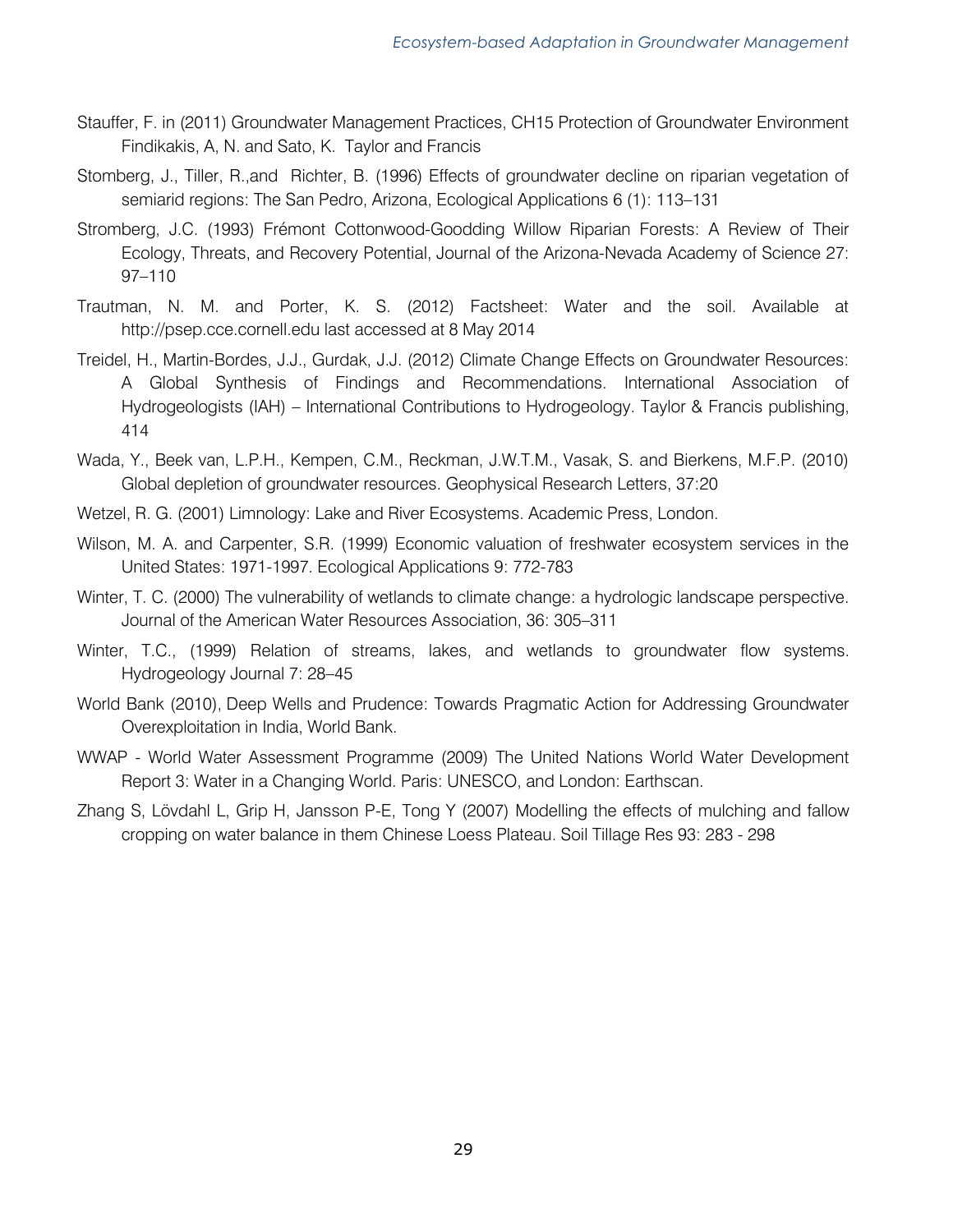- Stauffer, F. in (2011) Groundwater Management Practices, CH15 Protection of Groundwater Environment Findikakis, A, N. and Sato, K. Taylor and Francis
- Stomberg, J., Tiller, R.,and Richter, B. (1996) Effects of groundwater decline on riparian vegetation of semiarid regions: The San Pedro, Arizona, Ecological Applications 6 (1): 113–131
- Stromberg, J.C. (1993) Frémont Cottonwood-Goodding Willow Riparian Forests: A Review of Their Ecology, Threats, and Recovery Potential, Journal of the Arizona-Nevada Academy of Science 27: 97–110
- Trautman, N. M. and Porter, K. S. (2012) Factsheet: Water and the soil. Available at http://psep.cce.cornell.edu last accessed at 8 May 2014
- Treidel, H., Martin-Bordes, J.J., Gurdak, J.J. (2012) Climate Change Effects on Groundwater Resources: A Global Synthesis of Findings and Recommendations. International Association of Hydrogeologists (IAH) – International Contributions to Hydrogeology. Taylor & Francis publishing, 414
- Wada, Y., Beek van, L.P.H., Kempen, C.M., Reckman, J.W.T.M., Vasak, S. and Bierkens, M.F.P. (2010) Global depletion of groundwater resources. Geophysical Research Letters, 37:20
- Wetzel, R. G. (2001) Limnology: Lake and River Ecosystems. Academic Press, London.
- Wilson, M. A. and Carpenter, S.R. (1999) Economic valuation of freshwater ecosystem services in the United States: 1971-1997. Ecological Applications 9: 772-783
- Winter, T. C. (2000) The vulnerability of wetlands to climate change: a hydrologic landscape perspective. Journal of the American Water Resources Association, 36: 305–311
- Winter, T.C., (1999) Relation of streams, lakes, and wetlands to groundwater flow systems. Hydrogeology Journal 7: 28–45
- World Bank (2010), Deep Wells and Prudence: Towards Pragmatic Action for Addressing Groundwater Overexploitation in India, World Bank.
- WWAP World Water Assessment Programme (2009) The United Nations World Water Development Report 3: Water in a Changing World. Paris: UNESCO, and London: Earthscan.
- Zhang S, Lövdahl L, Grip H, Jansson P-E, Tong Y (2007) Modelling the effects of mulching and fallow cropping on water balance in them Chinese Loess Plateau. Soil Tillage Res 93: 283 - 298